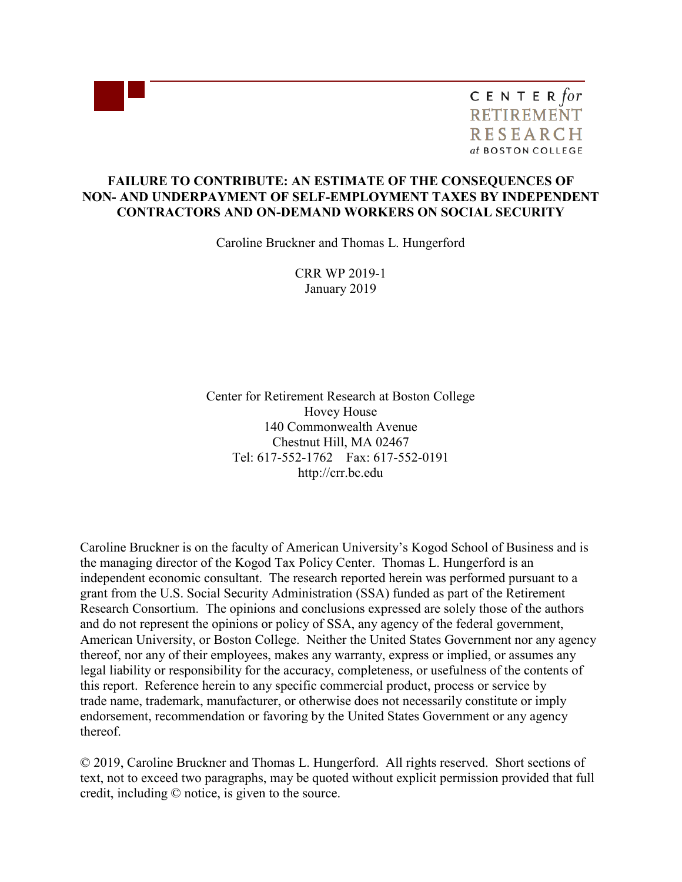

CENTER  $for$ **RETIREMENT RESEARCH** at BOSTON COLLEGE

## **FAILURE TO CONTRIBUTE: AN ESTIMATE OF THE CONSEQUENCES OF NON- AND UNDERPAYMENT OF SELF-EMPLOYMENT TAXES BY INDEPENDENT CONTRACTORS AND ON-DEMAND WORKERS ON SOCIAL SECURITY**

Caroline Bruckner and Thomas L. Hungerford

CRR WP 2019-1 January 2019

Center for Retirement Research at Boston College Hovey House 140 Commonwealth Avenue Chestnut Hill, MA 02467 Tel: 617-552-1762 Fax: 617-552-0191 http://crr.bc.edu

Caroline Bruckner is on the faculty of American University's Kogod School of Business and is the managing director of the Kogod Tax Policy Center. Thomas L. Hungerford is an independent economic consultant. The research reported herein was performed pursuant to a grant from the U.S. Social Security Administration (SSA) funded as part of the Retirement Research Consortium. The opinions and conclusions expressed are solely those of the authors and do not represent the opinions or policy of SSA, any agency of the federal government, American University, or Boston College. Neither the United States Government nor any agency thereof, nor any of their employees, makes any warranty, express or implied, or assumes any legal liability or responsibility for the accuracy, completeness, or usefulness of the contents of this report. Reference herein to any specific commercial product, process or service by trade name, trademark, manufacturer, or otherwise does not necessarily constitute or imply endorsement, recommendation or favoring by the United States Government or any agency thereof.

© 2019, Caroline Bruckner and Thomas L. Hungerford. All rights reserved. Short sections of text, not to exceed two paragraphs, may be quoted without explicit permission provided that full credit, including © notice, is given to the source.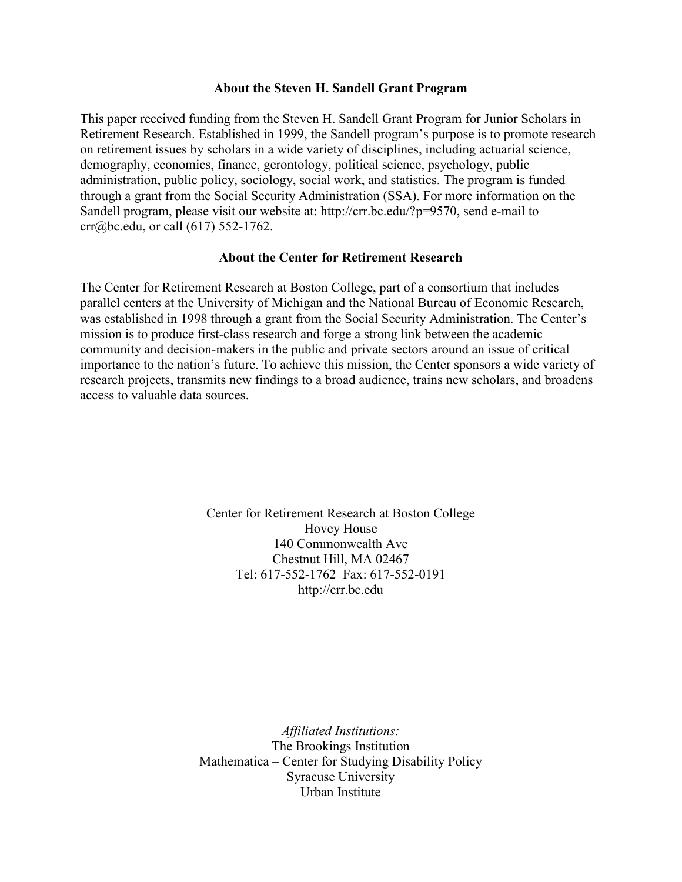## **About the Steven H. Sandell Grant Program**

This paper received funding from the Steven H. Sandell Grant Program for Junior Scholars in Retirement Research. Established in 1999, the Sandell program's purpose is to promote research on retirement issues by scholars in a wide variety of disciplines, including actuarial science, demography, economics, finance, gerontology, political science, psychology, public administration, public policy, sociology, social work, and statistics. The program is funded through a grant from the Social Security Administration (SSA). For more information on the Sandell program, please visit our website at: http://crr.bc.edu/?p=9570, send e-mail to crr@bc.edu, or call (617) 552-1762.

## **About the Center for Retirement Research**

The Center for Retirement Research at Boston College, part of a consortium that includes parallel centers at the University of Michigan and the National Bureau of Economic Research, was established in 1998 through a grant from the Social Security Administration. The Center's mission is to produce first-class research and forge a strong link between the academic community and decision-makers in the public and private sectors around an issue of critical importance to the nation's future. To achieve this mission, the Center sponsors a wide variety of research projects, transmits new findings to a broad audience, trains new scholars, and broadens access to valuable data sources.

> Center for Retirement Research at Boston College Hovey House 140 Commonwealth Ave Chestnut Hill, MA 02467 Tel: 617-552-1762 Fax: 617-552-0191 http://crr.bc.edu

*Affiliated Institutions:*  The Brookings Institution Mathematica – Center for Studying Disability Policy Syracuse University Urban Institute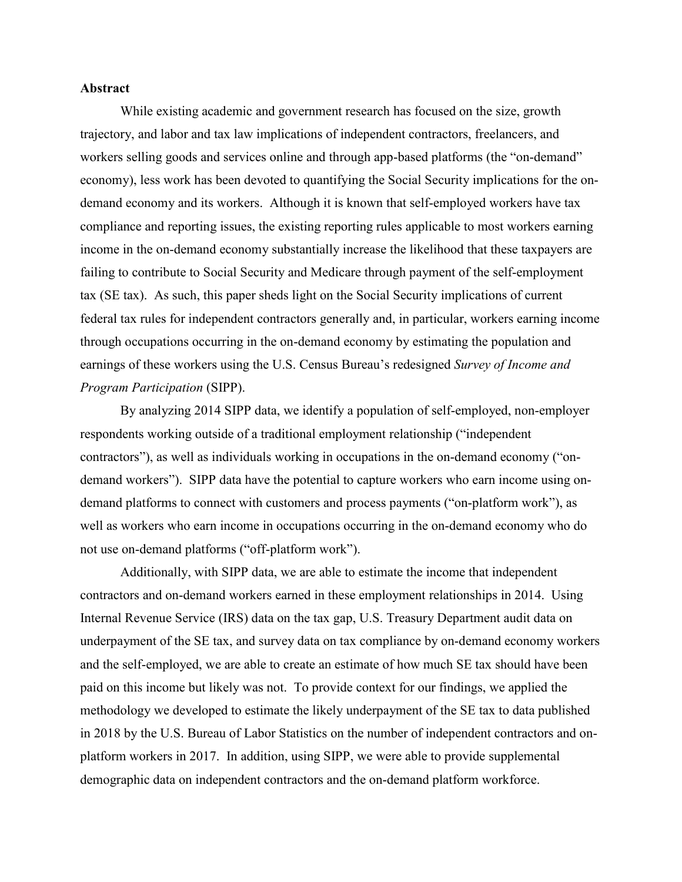### **Abstract**

While existing academic and government research has focused on the size, growth trajectory, and labor and tax law implications of independent contractors, freelancers, and workers selling goods and services online and through app-based platforms (the "on-demand" economy), less work has been devoted to quantifying the Social Security implications for the ondemand economy and its workers. Although it is known that self-employed workers have tax compliance and reporting issues, the existing reporting rules applicable to most workers earning income in the on-demand economy substantially increase the likelihood that these taxpayers are failing to contribute to Social Security and Medicare through payment of the self-employment tax (SE tax). As such, this paper sheds light on the Social Security implications of current federal tax rules for independent contractors generally and, in particular, workers earning income through occupations occurring in the on-demand economy by estimating the population and earnings of these workers using the U.S. Census Bureau's redesigned *Survey of Income and Program Participation* (SIPP).

By analyzing 2014 SIPP data, we identify a population of self-employed, non-employer respondents working outside of a traditional employment relationship ("independent contractors"), as well as individuals working in occupations in the on-demand economy ("ondemand workers"). SIPP data have the potential to capture workers who earn income using ondemand platforms to connect with customers and process payments ("on-platform work"), as well as workers who earn income in occupations occurring in the on-demand economy who do not use on-demand platforms ("off-platform work").

Additionally, with SIPP data, we are able to estimate the income that independent contractors and on-demand workers earned in these employment relationships in 2014. Using Internal Revenue Service (IRS) data on the tax gap, U.S. Treasury Department audit data on underpayment of the SE tax, and survey data on tax compliance by on-demand economy workers and the self-employed, we are able to create an estimate of how much SE tax should have been paid on this income but likely was not. To provide context for our findings, we applied the methodology we developed to estimate the likely underpayment of the SE tax to data published in 2018 by the U.S. Bureau of Labor Statistics on the number of independent contractors and onplatform workers in 2017. In addition, using SIPP, we were able to provide supplemental demographic data on independent contractors and the on-demand platform workforce.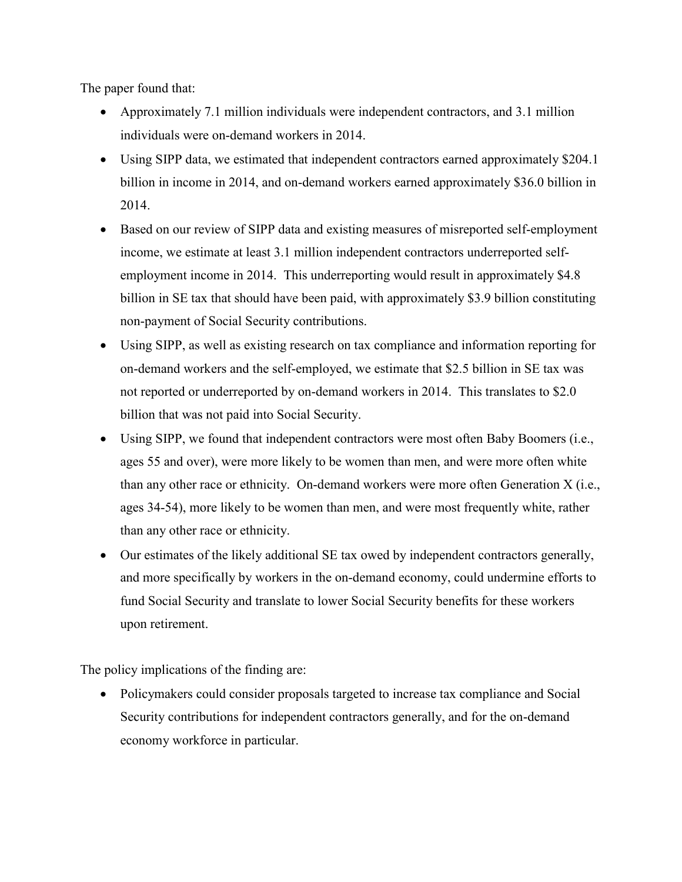The paper found that:

- Approximately 7.1 million individuals were independent contractors, and 3.1 million individuals were on-demand workers in 2014.
- Using SIPP data, we estimated that independent contractors earned approximately \$204.1 billion in income in 2014, and on-demand workers earned approximately \$36.0 billion in 2014.
- Based on our review of SIPP data and existing measures of misreported self-employment income, we estimate at least 3.1 million independent contractors underreported selfemployment income in 2014. This underreporting would result in approximately \$4.8 billion in SE tax that should have been paid, with approximately \$3.9 billion constituting non-payment of Social Security contributions.
- Using SIPP, as well as existing research on tax compliance and information reporting for on-demand workers and the self-employed, we estimate that \$2.5 billion in SE tax was not reported or underreported by on-demand workers in 2014. This translates to \$2.0 billion that was not paid into Social Security.
- Using SIPP, we found that independent contractors were most often Baby Boomers (i.e., ages 55 and over), were more likely to be women than men, and were more often white than any other race or ethnicity. On-demand workers were more often Generation X (i.e., ages 34-54), more likely to be women than men, and were most frequently white, rather than any other race or ethnicity.
- Our estimates of the likely additional SE tax owed by independent contractors generally, and more specifically by workers in the on-demand economy, could undermine efforts to fund Social Security and translate to lower Social Security benefits for these workers upon retirement.

The policy implications of the finding are:

• Policymakers could consider proposals targeted to increase tax compliance and Social Security contributions for independent contractors generally, and for the on-demand economy workforce in particular.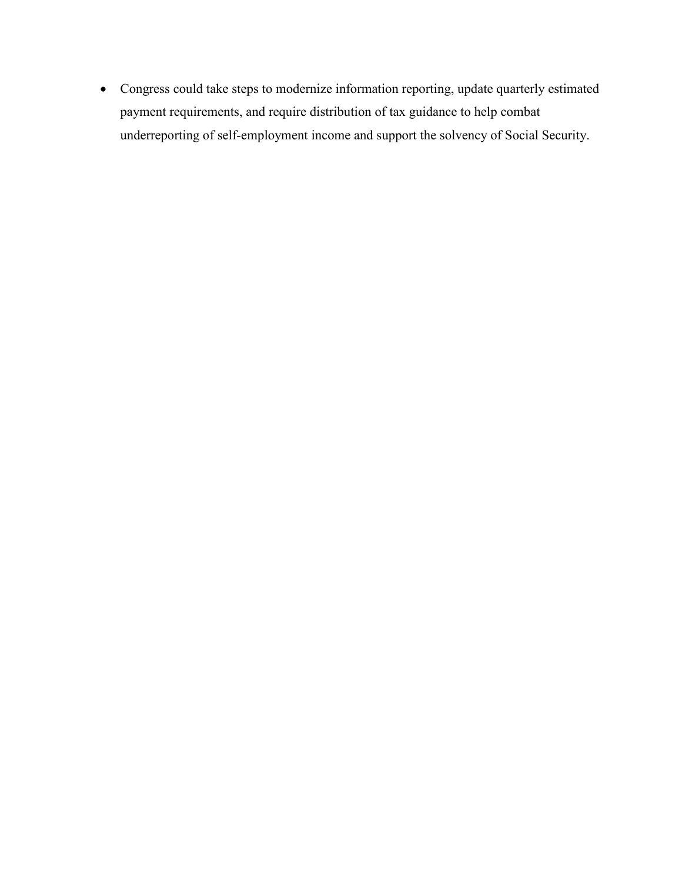• Congress could take steps to modernize information reporting, update quarterly estimated payment requirements, and require distribution of tax guidance to help combat underreporting of self-employment income and support the solvency of Social Security.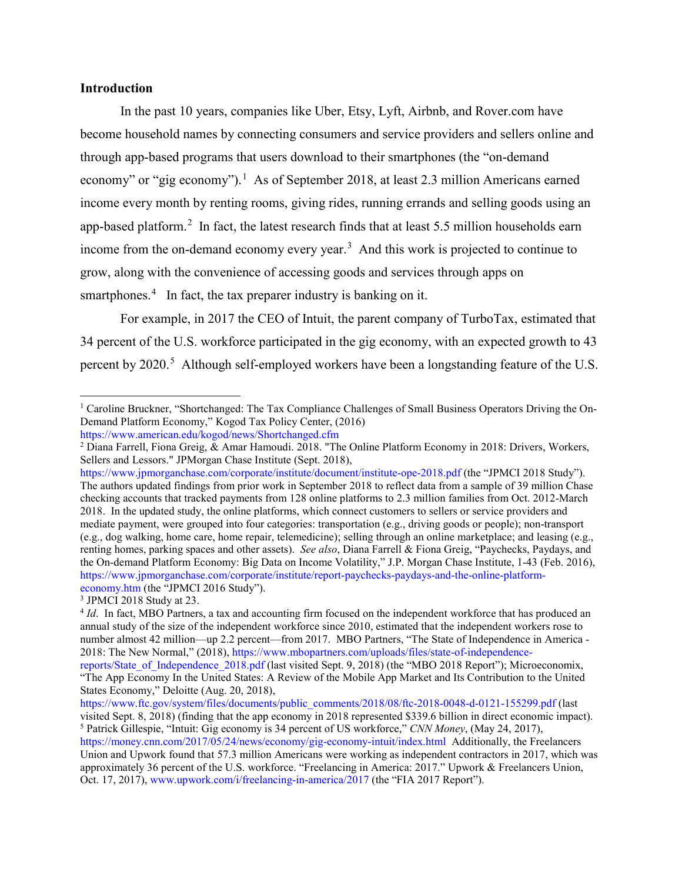## **Introduction**

In the past 10 years, companies like Uber, Etsy, Lyft, Airbnb, and Rover.com have become household names by connecting consumers and service providers and sellers online and through app-based programs that users download to their smartphones (the "on-demand economy" or "gig economy").<sup>[1](#page-5-0)</sup> As of September 2018, at least 2.3 million Americans earned income every month by renting rooms, giving rides, running errands and selling goods using an app-based platform.<sup>[2](#page-5-1)</sup> In fact, the latest research finds that at least 5.5 million households earn income from the on-demand economy every year. [3](#page-5-2) And this work is projected to continue to grow, along with the convenience of accessing goods and services through apps on smartphones.<sup>[4](#page-5-3)</sup> In fact, the tax preparer industry is banking on it.

For example, in 2017 the CEO of Intuit, the parent company of TurboTax, estimated that 34 percent of the U.S. workforce participated in the gig economy, with an expected growth to 43 percent by 2020.<sup>[5](#page-5-4)</sup> Although self-employed workers have been a longstanding feature of the U.S.

<span id="page-5-0"></span><sup>&</sup>lt;sup>1</sup> Caroline Bruckner, "Shortchanged: The Tax Compliance Challenges of Small Business Operators Driving the On-Demand Platform Economy," Kogod Tax Policy Center, (2016)<br>https://www.american.edu/kogod/news/Shortchanged.cfm

<span id="page-5-1"></span><sup>&</sup>lt;sup>2</sup> Diana Farrell, Fiona Greig, & Amar Hamoudi. 2018. "The Online Platform Economy in 2018: Drivers, Workers, Sellers and Lessors." JPMorgan Chase Institute (Sept. 2018),

<https://www.jpmorganchase.com/corporate/institute/document/institute-ope-2018.pdf> (the "JPMCI 2018 Study"). The authors updated findings from prior work in September 2018 to reflect data from a sample of 39 million Chase checking accounts that tracked payments from 128 online platforms to 2.3 million families from Oct. 2012-March 2018. In the updated study, the online platforms, which connect customers to sellers or service providers and mediate payment, were grouped into four categories: transportation (e.g., driving goods or people); non-transport (e.g., dog walking, home care, home repair, telemedicine); selling through an online marketplace; and leasing (e.g., renting homes, parking spaces and other assets). *See also*, Diana Farrell & Fiona Greig, "Paychecks, Paydays, and the On-demand Platform Economy: Big Data on Income Volatility," J.P. Morgan Chase Institute, 1-43 (Feb. 2016), [https://www.jpmorganchase.com/corporate/institute/report-paychecks-paydays-and-the-online-platform](https://www.jpmorganchase.com/corporate/institute/report-paychecks-paydays-and-the-online-platform-economy.htm)economy.htm (the "JPMCI 2016 Study").<br><sup>3</sup> JPMCI 2018 Study at 23.

<span id="page-5-2"></span>

<span id="page-5-3"></span><sup>&</sup>lt;sup>4</sup> *Id*. In fact, MBO Partners, a tax and accounting firm focused on the independent workforce that has produced an annual study of the size of the independent workforce since 2010, estimated that the independent workers rose to number almost 42 million—up 2.2 percent—from 2017. MBO Partners, "The State of Independence in America - 2018: The New Normal," (2018), [https://www.mbopartners.com/uploads/files/state-of-independence](https://www.mbopartners.com/uploads/files/state-of-independence-reports/State_of_Independence_2018.pdf)[reports/State\\_of\\_Independence\\_2018.pdf](https://www.mbopartners.com/uploads/files/state-of-independence-reports/State_of_Independence_2018.pdf) (last visited Sept. 9, 2018) (the "MBO 2018 Report"); Microeconomix,

<sup>&</sup>quot;The App Economy In the United States: A Review of the Mobile App Market and Its Contribution to the United States Economy," Deloitte (Aug. 20, 2018),

[https://www.ftc.gov/system/files/documents/public\\_comments/2018/08/ftc-2018-0048-d-0121-155299.pdf](https://www.ftc.gov/system/files/documents/public_comments/2018/08/ftc-2018-0048-d-0121-155299.pdf) (last visited Sept. 8, 2018) (finding that the app economy in 2018 represented \$339.6 billion in direct economic impact).

<span id="page-5-4"></span><sup>5</sup> Patrick Gillespie, "Intuit: Gig economy is 34 percent of US workforce," *CNN Money*, (May 24, 2017), <https://money.cnn.com/2017/05/24/news/economy/gig-economy-intuit/index.html>Additionally, the Freelancers

Union and Upwork found that 57.3 million Americans were working as independent contractors in 2017, which was approximately 36 percent of the U.S. workforce. "Freelancing in America: 2017." Upwork & Freelancers Union, Oct. 17, 2017), [www.upwork.com/i/freelancing-in-america/2017](http://www.upwork.com/i/freelancing-in-america/2017) (the "FIA 2017 Report").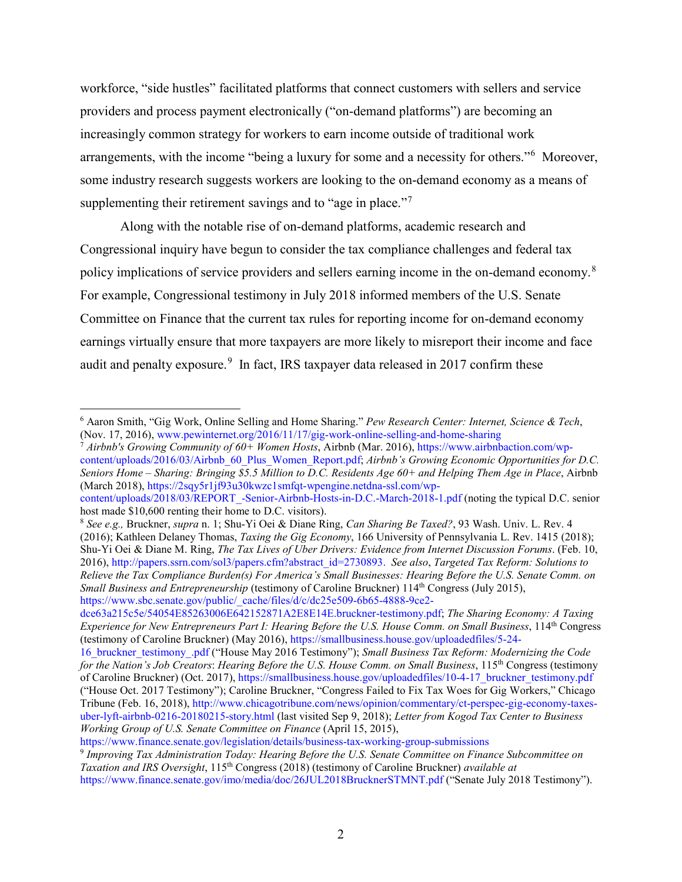workforce, "side hustles" facilitated platforms that connect customers with sellers and service providers and process payment electronically ("on-demand platforms") are becoming an increasingly common strategy for workers to earn income outside of traditional work arrangements, with the income "being a luxury for some and a necessity for others."<sup>[6](#page-6-0)</sup> Moreover, some industry research suggests workers are looking to the on-demand economy as a means of supplementing their retirement savings and to "age in place."[7](#page-6-1)

Along with the notable rise of on-demand platforms, academic research and Congressional inquiry have begun to consider the tax compliance challenges and federal tax policy implications of service providers and sellers earning income in the on-demand economy.<sup>[8](#page-6-2)</sup> For example, Congressional testimony in July 2018 informed members of the U.S. Senate Committee on Finance that the current tax rules for reporting income for on-demand economy earnings virtually ensure that more taxpayers are more likely to misreport their income and face audit and penalty exposure. $9\,$  $9\,$  In fact, IRS taxpayer data released in 2017 confirm these

<span id="page-6-1"></span><sup>7</sup> *Airbnb's Growing Community of 60+ Women Hosts*, Airbnb (Mar. 2016)[, https://www.airbnbaction.com/wp](https://www.airbnbaction.com/wp-content/uploads/2016/03/Airbnb_60_Plus_Women_Report.pdf)[content/uploads/2016/03/Airbnb\\_60\\_Plus\\_Women\\_Report.pdf;](https://www.airbnbaction.com/wp-content/uploads/2016/03/Airbnb_60_Plus_Women_Report.pdf) *Airbnb's Growing Economic Opportunities for D.C. Seniors Home – Sharing: Bringing \$5.5 Million to D.C. Residents Age 60+ and Helping Them Age in Place*, Airbnb (March 2018), [https://2sqy5r1jf93u30kwzc1smfqt-wpengine.netdna-ssl.com/wp-](https://2sqy5r1jf93u30kwzc1smfqt-wpengine.netdna-ssl.com/wp-content/uploads/2018/03/REPORT_-Senior-Airbnb-Hosts-in-D.C.-March-2018-1.pdf)

<span id="page-6-0"></span> <sup>6</sup> Aaron Smith, "Gig Work, Online Selling and Home Sharing." *Pew Research Center: Internet, Science & Tech*, (Nov. 17, 2016), [www.pewinternet.org/2016/11/17/gig-work-online-selling-and-home-sharing](http://www.pewinternet.org/2016/11/17/gig-work-online-selling-and-home-sharing)

[content/uploads/2018/03/REPORT\\_-Senior-Airbnb-Hosts-in-D.C.-March-2018-1.pdf](https://2sqy5r1jf93u30kwzc1smfqt-wpengine.netdna-ssl.com/wp-content/uploads/2018/03/REPORT_-Senior-Airbnb-Hosts-in-D.C.-March-2018-1.pdf) (noting the typical D.C. senior host made \$10,600 renting their home to D.C. visitors).

<span id="page-6-2"></span><sup>8</sup> *See e.g.,* Bruckner, *supra* n. 1; Shu-Yi Oei & Diane Ring, *Can Sharing Be Taxed?*, 93 Wash. Univ. L. Rev. 4 (2016); Kathleen Delaney Thomas, *Taxing the Gig Economy*, 166 University of Pennsylvania L. Rev. 1415 (2018); Shu-Yi Oei & Diane M. Ring, *The Tax Lives of Uber Drivers: Evidence from Internet Discussion Forums*. (Feb. 10, 2016), [http://papers.ssrn.com/sol3/papers.cfm?abstract\\_id=2730893.](http://papers.ssrn.com/sol3/papers.cfm?abstract_id=2730893) *See also*, *Targeted Tax Reform: Solutions to Relieve the Tax Compliance Burden(s) For America's Small Businesses: Hearing Before the U.S. Senate Comm. on Small Business and Entrepreneurship* (testimony of Caroline Bruckner) 114<sup>th</sup> Congress (July 2015), [https://www.sbc.senate.gov/public/\\_cache/files/d/c/dc25e509-6b65-4888-9ce2-](https://www.sbc.senate.gov/public/_cache/files/d/c/dc25e509-6b65-4888-9ce2-dce63a215c5e/54054E85263006E642152871A2E8E14E.bruckner-testimony.pdf)

[dce63a215c5e/54054E85263006E642152871A2E8E14E.bruckner-testimony.pdf;](https://www.sbc.senate.gov/public/_cache/files/d/c/dc25e509-6b65-4888-9ce2-dce63a215c5e/54054E85263006E642152871A2E8E14E.bruckner-testimony.pdf) *The Sharing Economy: A Taxing Experience for New Entrepreneurs Part I: Hearing Before the U.S. House Comm. on Small Business*, 114th Congress (testimony of Caroline Bruckner) (May 2016)[, https://smallbusiness.house.gov/uploadedfiles/5-24-](https://smallbusiness.house.gov/uploadedfiles/5-24-16_bruckner_testimony_.pdf)

[<sup>16</sup>\\_bruckner\\_testimony\\_.pdf](https://smallbusiness.house.gov/uploadedfiles/5-24-16_bruckner_testimony_.pdf) ("House May 2016 Testimony"); *Small Business Tax Reform: Modernizing the Code for the Nation's Job Creators*: *Hearing Before the U.S. House Comm. on Small Business*, 115th Congress (testimony of Caroline Bruckner) (Oct. 2017), [https://smallbusiness.house.gov/uploadedfiles/10-4-17\\_bruckner\\_testimony.pdf](https://smallbusiness.house.gov/uploadedfiles/10-4-17_bruckner_testimony.pdf) ("House Oct. 2017 Testimony"); Caroline Bruckner, "Congress Failed to Fix Tax Woes for Gig Workers," Chicago Tribune (Feb. 16, 2018), [http://www.chicagotribune.com/news/opinion/commentary/ct-perspec-gig-economy-taxes](http://www.chicagotribune.com/news/opinion/commentary/ct-perspec-gig-economy-taxes-uber-lyft-airbnb-0216-20180215-story.html)[uber-lyft-airbnb-0216-20180215-story.html](http://www.chicagotribune.com/news/opinion/commentary/ct-perspec-gig-economy-taxes-uber-lyft-airbnb-0216-20180215-story.html) (last visited Sep 9, 2018); *Letter from Kogod Tax Center to Business Working Group of U.S. Senate Committee on Finance* (April 15, 2015),

<https://www.finance.senate.gov/legislation/details/business-tax-working-group-submissions>

<span id="page-6-3"></span><sup>9</sup> *Improving Tax Administration Today: Hearing Before the U.S. Senate Committee on Finance Subcommittee on Taxation and IRS Oversight*, 115th Congress (2018) (testimony of Caroline Bruckner) *available at*

<https://www.finance.senate.gov/imo/media/doc/26JUL2018BrucknerSTMNT.pdf> ("Senate July 2018 Testimony").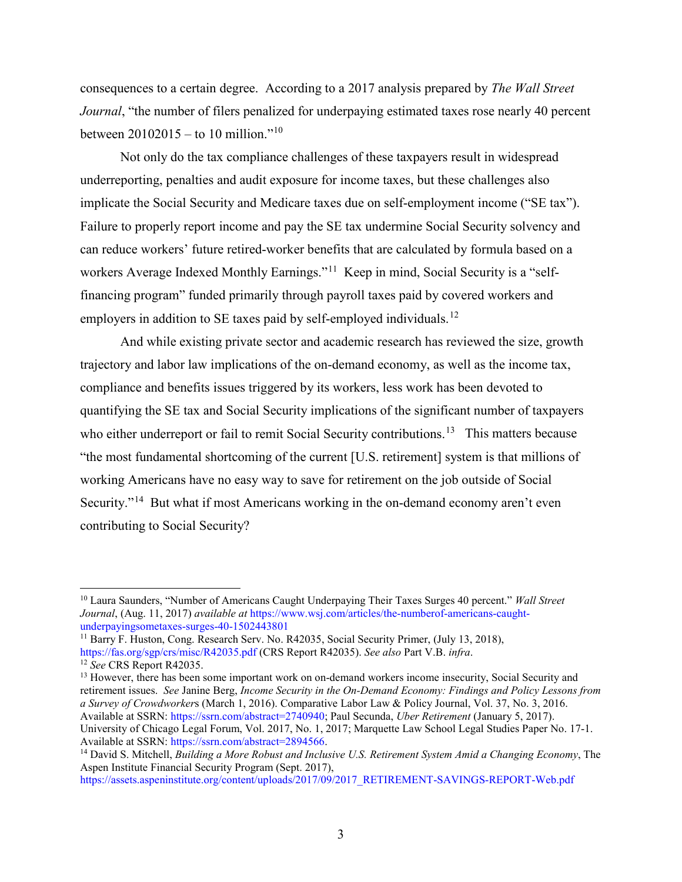consequences to a certain degree. According to a 2017 analysis prepared by *The Wall Street Journal*, "the number of filers penalized for underpaying estimated taxes rose nearly 40 percent between  $20102015 20102015 20102015 -$  to 10 million."<sup>10</sup>

Not only do the tax compliance challenges of these taxpayers result in widespread underreporting, penalties and audit exposure for income taxes, but these challenges also implicate the Social Security and Medicare taxes due on self-employment income ("SE tax"). Failure to properly report income and pay the SE tax undermine Social Security solvency and can reduce workers' future retired-worker benefits that are calculated by formula based on a workers Average Indexed Monthly Earnings."<sup>[11](#page-7-1)</sup> Keep in mind, Social Security is a "selffinancing program" funded primarily through payroll taxes paid by covered workers and employers in addition to SE taxes paid by self-employed individuals.<sup>12</sup>

And while existing private sector and academic research has reviewed the size, growth trajectory and labor law implications of the on-demand economy, as well as the income tax, compliance and benefits issues triggered by its workers, less work has been devoted to quantifying the SE tax and Social Security implications of the significant number of taxpayers who either underreport or fail to remit Social Security contributions.<sup>13</sup> This matters because "the most fundamental shortcoming of the current [U.S. retirement] system is that millions of working Americans have no easy way to save for retirement on the job outside of Social Security."[14](#page-7-4) But what if most Americans working in the on-demand economy aren't even contributing to Social Security?

<span id="page-7-3"></span><sup>13</sup> However, there has been some important work on on-demand workers income insecurity, Social Security and retirement issues. *See* Janine Berg, *Income Security in the On-Demand Economy: Findings and Policy Lessons from a Survey of Crowdworker*s (March 1, 2016). Comparative Labor Law & Policy Journal, Vol. 37, No. 3, 2016. Available at SSRN: [https://ssrn.com/abstract=2740940;](https://ssrn.com/abstract=2740940) Paul Secunda, *Uber Retirement* (January 5, 2017). University of Chicago Legal Forum, Vol. 2017, No. 1, 2017; Marquette Law School Legal Studies Paper No. 17-1.<br>Available at SSRN: https://ssrn.com/abstract=2894566.

<span id="page-7-0"></span> <sup>10</sup> Laura Saunders, "Number of Americans Caught Underpaying Their Taxes Surges 40 percent." *Wall Street Journal*, (Aug. 11, 2017) *available at* [https://www.wsj.com/articles/the-numberof-americans-caught](https://www.wsj.com/articles/the-numberof-americans-caught-underpayingsometaxes-surges-40-1502443801)[underpayingsometaxes-surges-40-1502443801](https://www.wsj.com/articles/the-numberof-americans-caught-underpayingsometaxes-surges-40-1502443801)

<span id="page-7-1"></span><sup>&</sup>lt;sup>11</sup> Barry F. Huston, Cong. Research Serv. No. R42035, Social Security Primer, (July 13, 2018), https://fas.org/sgp/crs/misc/R42035.pdf (CRS Report R42035). *See also* Part V.B. *infra*. 12 *See* CRS Report R42035.

<span id="page-7-2"></span>

<span id="page-7-4"></span><sup>&</sup>lt;sup>14</sup> David S. Mitchell, *Building a More Robust and Inclusive U.S. Retirement System Amid a Changing Economy*, The Aspen Institute Financial Security Program (Sept. 2017),

[https://assets.aspeninstitute.org/content/uploads/2017/09/2017\\_RETIREMENT-SAVINGS-REPORT-Web.pdf](https://assets.aspeninstitute.org/content/uploads/2017/09/2017_RETIREMENT-SAVINGS-REPORT-Web.pdf)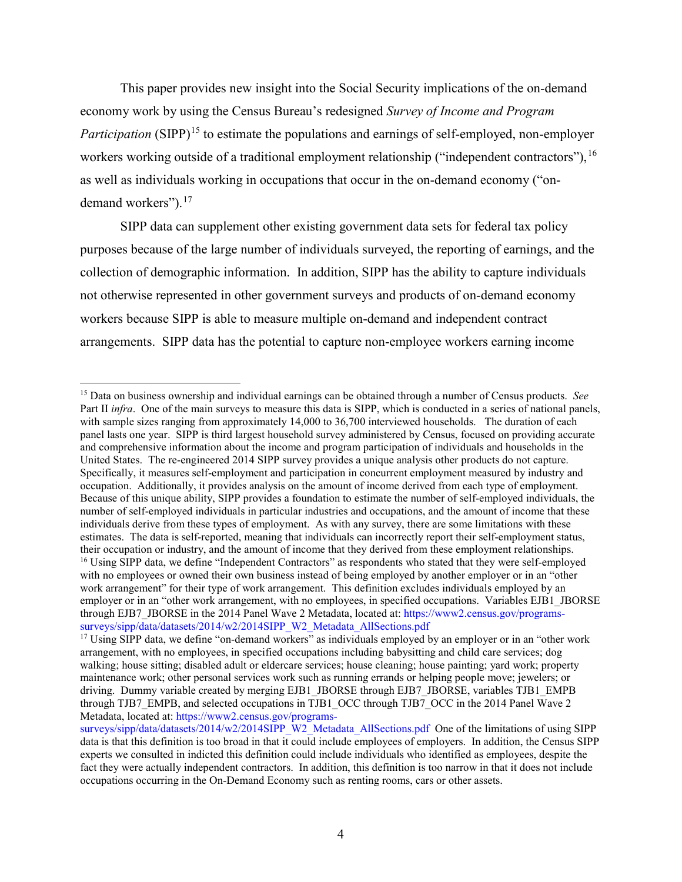This paper provides new insight into the Social Security implications of the on-demand economy work by using the Census Bureau's redesigned *Survey of Income and Program Participation* (SIPP)<sup>[15](#page-8-0)</sup> to estimate the populations and earnings of self-employed, non-employer workers working outside of a traditional employment relationship ("independent contractors"), <sup>[16](#page-8-1)</sup> as well as individuals working in occupations that occur in the on-demand economy ("ondemand workers").<sup>17</sup>

SIPP data can supplement other existing government data sets for federal tax policy purposes because of the large number of individuals surveyed, the reporting of earnings, and the collection of demographic information. In addition, SIPP has the ability to capture individuals not otherwise represented in other government surveys and products of on-demand economy workers because SIPP is able to measure multiple on-demand and independent contract arrangements. SIPP data has the potential to capture non-employee workers earning income

<span id="page-8-0"></span> <sup>15</sup> Data on business ownership and individual earnings can be obtained through a number of Census products. *See* Part II *infra*. One of the main surveys to measure this data is SIPP, which is conducted in a series of national panels, with sample sizes ranging from approximately 14,000 to 36,700 interviewed households. The duration of each panel lasts one year. SIPP is third largest household survey administered by Census, focused on providing accurate and comprehensive information about the income and program participation of individuals and households in the United States. The re-engineered 2014 SIPP survey provides a unique analysis other products do not capture. Specifically, it measures self-employment and participation in concurrent employment measured by industry and occupation. Additionally, it provides analysis on the amount of income derived from each type of employment. Because of this unique ability, SIPP provides a foundation to estimate the number of self-employed individuals, the number of self-employed individuals in particular industries and occupations, and the amount of income that these individuals derive from these types of employment. As with any survey, there are some limitations with these estimates. The data is self-reported, meaning that individuals can incorrectly report their self-employment status, their occupation or industry, and the amount of income that they derived from these employment relationshi  $16$  Using SIPP data, we define "Independent Contractors" as respondents who stated that they were self-employed with no employees or owned their own business instead of being employed by another employer or in an "other work arrangement" for their type of work arrangement. This definition excludes individuals employed by an employer or in an "other work arrangement, with no employees, in specified occupations. Variables EJB1\_JBORSE through EJB7\_JBORSE in the 2014 Panel Wave 2 Metadata, located at[: https://www2.census.gov/programs](https://www2.census.gov/programs-surveys/sipp/data/datasets/2014/w2/2014SIPP_W2_Metadata_AllSections.pdf)[surveys/sipp/data/datasets/2014/w2/2014SIPP\\_W2\\_Metadata\\_AllSections.pdf](https://www2.census.gov/programs-surveys/sipp/data/datasets/2014/w2/2014SIPP_W2_Metadata_AllSections.pdf)

<span id="page-8-2"></span><span id="page-8-1"></span><sup>&</sup>lt;sup>17</sup> Using SIPP data, we define "on-demand workers" as individuals employed by an employer or in an "other work arrangement, with no employees, in specified occupations including babysitting and child care services; dog walking; house sitting; disabled adult or eldercare services; house cleaning; house painting; yard work; property maintenance work; other personal services work such as running errands or helping people move; jewelers; or driving. Dummy variable created by merging EJB1\_JBORSE through EJB7\_JBORSE, variables TJB1\_EMPB through TJB7\_EMPB, and selected occupations in TJB1\_OCC through TJB7\_OCC in the 2014 Panel Wave 2 Metadata, located at: [https://www2.census.gov/programs-](https://www2.census.gov/programs-surveys/sipp/data/datasets/2014/w2/2014SIPP_W2_Metadata_AllSections.pdf)

[surveys/sipp/data/datasets/2014/w2/2014SIPP\\_W2\\_Metadata\\_AllSections.pdf](https://www2.census.gov/programs-surveys/sipp/data/datasets/2014/w2/2014SIPP_W2_Metadata_AllSections.pdf) One of the limitations of using SIPP data is that this definition is too broad in that it could include employees of employers. In addition, the Census SIPP experts we consulted in indicted this definition could include individuals who identified as employees, despite the fact they were actually independent contractors. In addition, this definition is too narrow in that it does not include occupations occurring in the On-Demand Economy such as renting rooms, cars or other assets.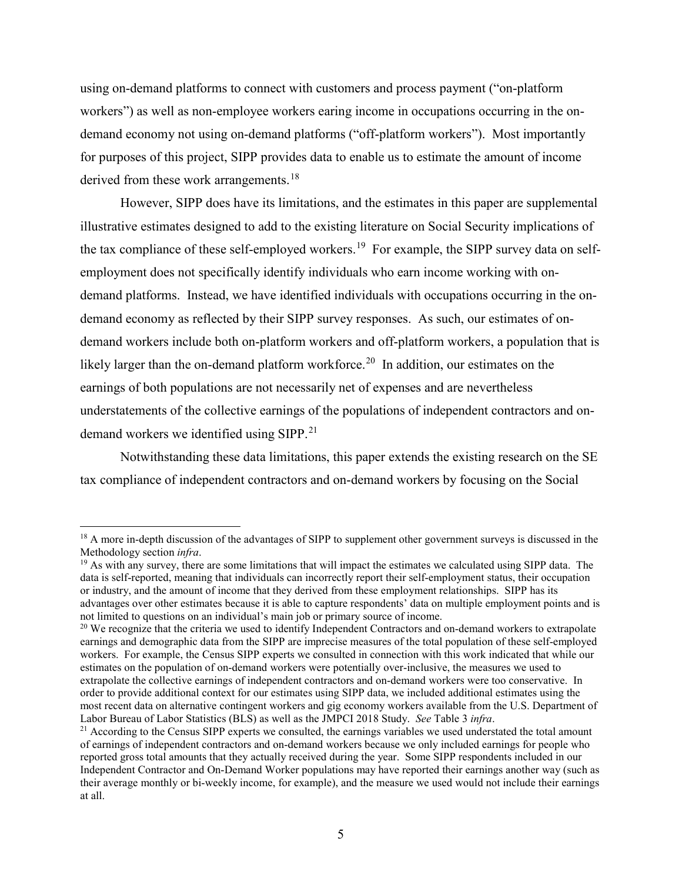using on-demand platforms to connect with customers and process payment ("on-platform workers") as well as non-employee workers earing income in occupations occurring in the ondemand economy not using on-demand platforms ("off-platform workers"). Most importantly for purposes of this project, SIPP provides data to enable us to estimate the amount of income derived from these work arrangements.<sup>18</sup>

However, SIPP does have its limitations, and the estimates in this paper are supplemental illustrative estimates designed to add to the existing literature on Social Security implications of the tax compliance of these self-employed workers.<sup>[19](#page-9-1)</sup> For example, the SIPP survey data on selfemployment does not specifically identify individuals who earn income working with ondemand platforms. Instead, we have identified individuals with occupations occurring in the ondemand economy as reflected by their SIPP survey responses. As such, our estimates of ondemand workers include both on-platform workers and off-platform workers, a population that is likely larger than the on-demand platform workforce.<sup>20</sup> In addition, our estimates on the earnings of both populations are not necessarily net of expenses and are nevertheless understatements of the collective earnings of the populations of independent contractors and on-demand workers we identified using SIPP.<sup>[21](#page-9-3)</sup>

Notwithstanding these data limitations, this paper extends the existing research on the SE tax compliance of independent contractors and on-demand workers by focusing on the Social

<span id="page-9-0"></span> $18$  A more in-depth discussion of the advantages of SIPP to supplement other government surveys is discussed in the Methodology section *infra*.

<span id="page-9-1"></span><sup>&</sup>lt;sup>19</sup> As with any survey, there are some limitations that will impact the estimates we calculated using SIPP data. The data is self-reported, meaning that individuals can incorrectly report their self-employment status, their occupation or industry, and the amount of income that they derived from these employment relationships. SIPP has its advantages over other estimates because it is able to capture respondents' data on multiple employment points and is not limited to questions on an individual's main job or primary source of income.<br><sup>20</sup> We recognize that the criteria we used to identify Independent Contractors and on-demand workers to extrapolate

<span id="page-9-2"></span>earnings and demographic data from the SIPP are imprecise measures of the total population of these self-employed workers. For example, the Census SIPP experts we consulted in connection with this work indicated that while our estimates on the population of on-demand workers were potentially over-inclusive, the measures we used to extrapolate the collective earnings of independent contractors and on-demand workers were too conservative. In order to provide additional context for our estimates using SIPP data, we included additional estimates using the most recent data on alternative contingent workers and gig economy workers available from the U.S. Department of Labor Bureau of Labor Statistics (BLS) as well as the JMPCI 2018 Study. See Table 3 infra.

<span id="page-9-3"></span><sup>&</sup>lt;sup>21</sup> According to the Census SIPP experts we consulted, the earnings variables we used understated the total amount of earnings of independent contractors and on-demand workers because we only included earnings for people who reported gross total amounts that they actually received during the year. Some SIPP respondents included in our Independent Contractor and On-Demand Worker populations may have reported their earnings another way (such as their average monthly or bi-weekly income, for example), and the measure we used would not include their earnings at all.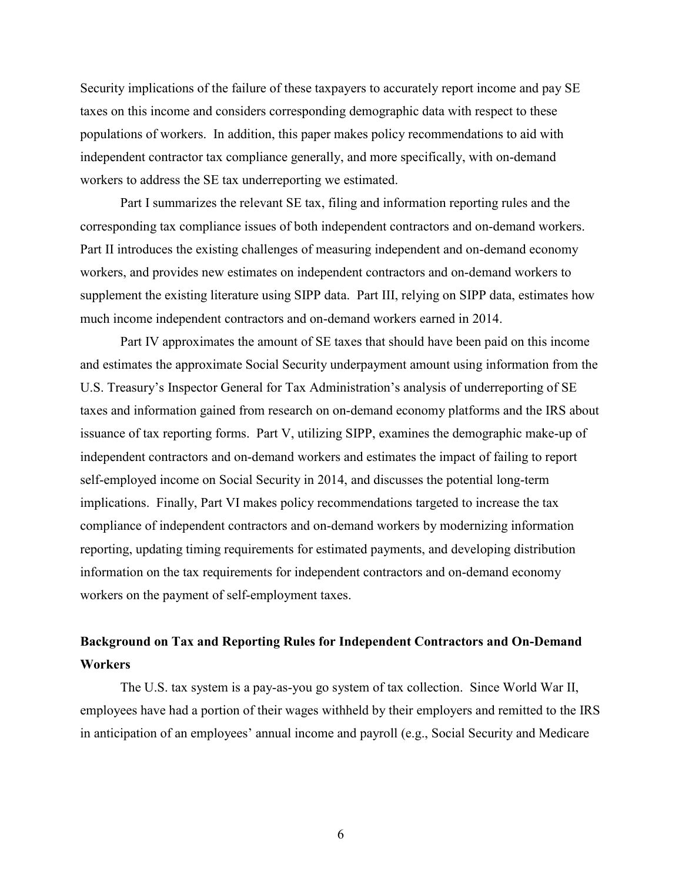Security implications of the failure of these taxpayers to accurately report income and pay SE taxes on this income and considers corresponding demographic data with respect to these populations of workers. In addition, this paper makes policy recommendations to aid with independent contractor tax compliance generally, and more specifically, with on-demand workers to address the SE tax underreporting we estimated.

Part I summarizes the relevant SE tax, filing and information reporting rules and the corresponding tax compliance issues of both independent contractors and on-demand workers. Part II introduces the existing challenges of measuring independent and on-demand economy workers, and provides new estimates on independent contractors and on-demand workers to supplement the existing literature using SIPP data. Part III, relying on SIPP data, estimates how much income independent contractors and on-demand workers earned in 2014.

Part IV approximates the amount of SE taxes that should have been paid on this income and estimates the approximate Social Security underpayment amount using information from the U.S. Treasury's Inspector General for Tax Administration's analysis of underreporting of SE taxes and information gained from research on on-demand economy platforms and the IRS about issuance of tax reporting forms. Part V, utilizing SIPP, examines the demographic make-up of independent contractors and on-demand workers and estimates the impact of failing to report self-employed income on Social Security in 2014, and discusses the potential long-term implications. Finally, Part VI makes policy recommendations targeted to increase the tax compliance of independent contractors and on-demand workers by modernizing information reporting, updating timing requirements for estimated payments, and developing distribution information on the tax requirements for independent contractors and on-demand economy workers on the payment of self-employment taxes.

# **Background on Tax and Reporting Rules for Independent Contractors and On-Demand Workers**

The U.S. tax system is a pay-as-you go system of tax collection. Since World War II, employees have had a portion of their wages withheld by their employers and remitted to the IRS in anticipation of an employees' annual income and payroll (e.g., Social Security and Medicare

6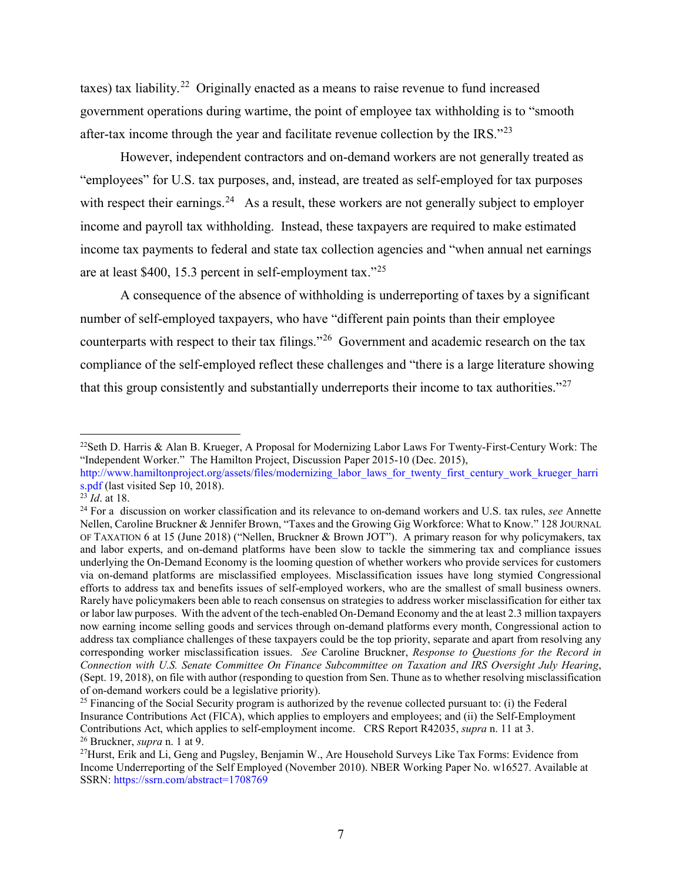taxes) tax liability.[22](#page-11-0) Originally enacted as a means to raise revenue to fund increased government operations during wartime, the point of employee tax withholding is to "smooth after-tax income through the year and facilitate revenue collection by the IRS." $^{23}$  $^{23}$  $^{23}$ 

However, independent contractors and on-demand workers are not generally treated as "employees" for U.S. tax purposes, and, instead, are treated as self-employed for tax purposes with respect their earnings.<sup>24</sup> As a result, these workers are not generally subject to employer income and payroll tax withholding. Instead, these taxpayers are required to make estimated income tax payments to federal and state tax collection agencies and "when annual net earnings are at least \$400, 15.3 percent in self-employment tax."[25](#page-11-3) 

A consequence of the absence of withholding is underreporting of taxes by a significant number of self-employed taxpayers, who have "different pain points than their employee counterparts with respect to their tax filings."[26](#page-11-4) Government and academic research on the tax compliance of the self-employed reflect these challenges and "there is a large literature showing that this group consistently and substantially underreports their income to tax authorities."[27](#page-11-5)

<span id="page-11-0"></span><sup>&</sup>lt;sup>22</sup>Seth D. Harris & Alan B. Krueger, A Proposal for Modernizing Labor Laws For Twenty-First-Century Work: The "Independent Worker." The Hamilton Project, Discussion Paper 2015-10 (Dec. 2015),

[http://www.hamiltonproject.org/assets/files/modernizing\\_labor\\_laws\\_for\\_twenty\\_first\\_century\\_work\\_krueger\\_harri](http://www.hamiltonproject.org/assets/files/modernizing_labor_laws_for_twenty_first_century_work_krueger_harris.pdf) [s.pdf](http://www.hamiltonproject.org/assets/files/modernizing_labor_laws_for_twenty_first_century_work_krueger_harris.pdf) (last visited Sep 10, 2018).<br><sup>23</sup> Id. at 18.

<span id="page-11-1"></span>

<span id="page-11-2"></span><sup>&</sup>lt;sup>24</sup> For a discussion on worker classification and its relevance to on-demand workers and U.S. tax rules, *see* Annette Nellen, Caroline Bruckner & Jennifer Brown, "Taxes and the Growing Gig Workforce: What to Know." 128 JOURNAL OF TAXATION 6 at 15 (June 2018) ("Nellen, Bruckner & Brown JOT"). A primary reason for why policymakers, tax and labor experts, and on-demand platforms have been slow to tackle the simmering tax and compliance issues underlying the On-Demand Economy is the looming question of whether workers who provide services for customers via on-demand platforms are misclassified employees. Misclassification issues have long stymied Congressional efforts to address tax and benefits issues of self-employed workers, who are the smallest of small business owners. Rarely have policymakers been able to reach consensus on strategies to address worker misclassification for either tax or labor law purposes. With the advent of the tech-enabled On-Demand Economy and the at least 2.3 million taxpayers now earning income selling goods and services through on-demand platforms every month, Congressional action to address tax compliance challenges of these taxpayers could be the top priority, separate and apart from resolving any corresponding worker misclassification issues. *See* Caroline Bruckner, *Response to Questions for the Record in Connection with U.S. Senate Committee On Finance Subcommittee on Taxation and IRS Oversight July Hearing*, (Sept. 19, 2018), on file with author (responding to question from Sen. Thune as to whether resolving misclassification of on-demand workers could be a legislative priority).<br><sup>25</sup> Financing of the Social Security program is authorized by the revenue collected pursuant to: (i) the Federal

<span id="page-11-3"></span>Insurance Contributions Act (FICA), which applies to employers and employees; and (ii) the Self-Employment Contributions Act, which applies to self-employment income. CRS Report R42035, *supra* n. 11 at 3. <sup>26</sup> Bruckner, *supra* n. 1 at 9.<br><sup>27</sup>Hurst, Erik and Li, Geng and Pugsley, Benjamin W., Are Household Surveys Like Tax Forms: Evidence from

<span id="page-11-5"></span><span id="page-11-4"></span>Income Underreporting of the Self Employed (November 2010). NBER Working Paper No. w16527. Available at SSRN:<https://ssrn.com/abstract=1708769>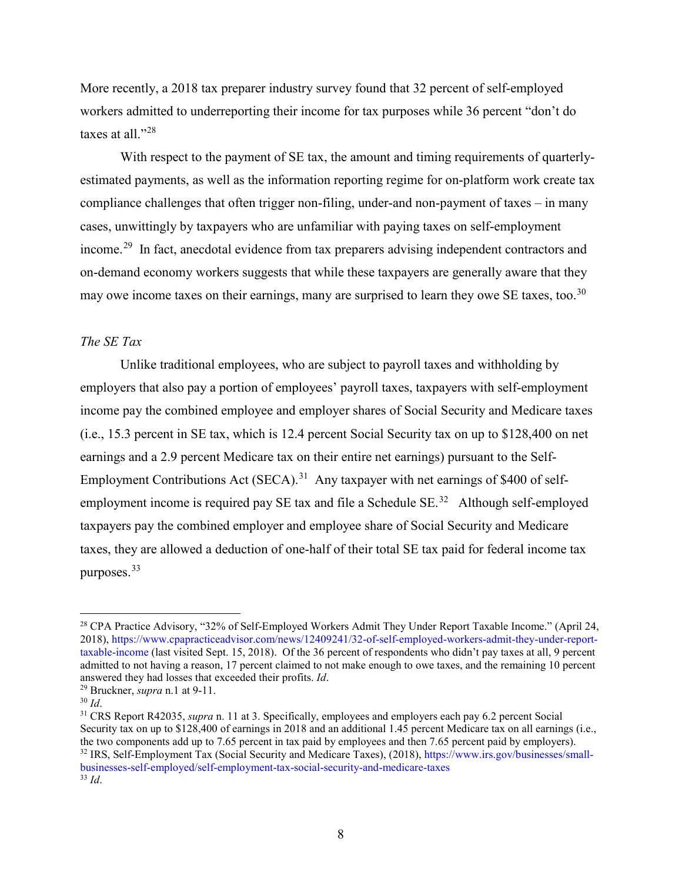More recently, a 2018 tax preparer industry survey found that 32 percent of self-employed workers admitted to underreporting their income for tax purposes while 36 percent "don't do taxes at all."<sup>[28](#page-12-0)</sup>

With respect to the payment of SE tax, the amount and timing requirements of quarterlyestimated payments, as well as the information reporting regime for on-platform work create tax compliance challenges that often trigger non-filing, under-and non-payment of taxes – in many cases, unwittingly by taxpayers who are unfamiliar with paying taxes on self-employment income.<sup>[29](#page-12-1)</sup> In fact, anecdotal evidence from tax preparers advising independent contractors and on-demand economy workers suggests that while these taxpayers are generally aware that they may owe income taxes on their earnings, many are surprised to learn they owe SE taxes, too.<sup>[30](#page-12-2)</sup>

## *The SE Tax*

Unlike traditional employees, who are subject to payroll taxes and withholding by employers that also pay a portion of employees' payroll taxes, taxpayers with self-employment income pay the combined employee and employer shares of Social Security and Medicare taxes (i.e., 15.3 percent in SE tax, which is 12.4 percent Social Security tax on up to \$128,400 on net earnings and a 2.9 percent Medicare tax on their entire net earnings) pursuant to the Self-Employment Contributions Act  $(SECA)^3$ <sup>1</sup> Any taxpayer with net earnings of \$400 of selfemployment income is required pay SE tax and file a Schedule  $SE^{32}$  Although self-employed taxpayers pay the combined employer and employee share of Social Security and Medicare taxes, they are allowed a deduction of one-half of their total SE tax paid for federal income tax purposes.[33](#page-12-5)

<span id="page-12-0"></span> <sup>28</sup> CPA Practice Advisory, "32% of Self-Employed Workers Admit They Under Report Taxable Income." (April 24, 2018), [https://www.cpapracticeadvisor.com/news/12409241/32-of-self-employed-workers-admit-they-under-report](https://www.cpapracticeadvisor.com/news/12409241/32-of-self-employed-workers-admit-they-under-report-taxable-income)[taxable-income](https://www.cpapracticeadvisor.com/news/12409241/32-of-self-employed-workers-admit-they-under-report-taxable-income) (last visited Sept. 15, 2018). Of the 36 percent of respondents who didn't pay taxes at all, 9 percent admitted to not having a reason, 17 percent claimed to not make enough to owe taxes, and the remaining 10 percent answered they had losses that exceeded their profits. *Id*. 29 Bruckner, *supra* n.1 at 9-11.

<span id="page-12-1"></span>

<span id="page-12-2"></span><sup>30</sup> *Id*.

<span id="page-12-5"></span><span id="page-12-4"></span><span id="page-12-3"></span><sup>31</sup> CRS Report R42035, *supra* n. 11 at 3. Specifically, employees and employers each pay 6.2 percent Social Security tax on up to \$128,400 of earnings in 2018 and an additional 1.45 percent Medicare tax on all earnings (i.e., the two components add up to 7.65 percent in tax paid by employees and then 7.65 percent paid by employers). <sup>32</sup> IRS, Self-Employment Tax (Social Security and Medicare Taxes), (2018), [https://www.irs.gov/businesses/small](https://www.irs.gov/businesses/small-businesses-self-employed/self-employment-tax-social-security-and-medicare-taxes)[businesses-self-employed/self-employment-tax-social-security-and-medicare-taxes](https://www.irs.gov/businesses/small-businesses-self-employed/self-employment-tax-social-security-and-medicare-taxes) <sup>33</sup> *Id*.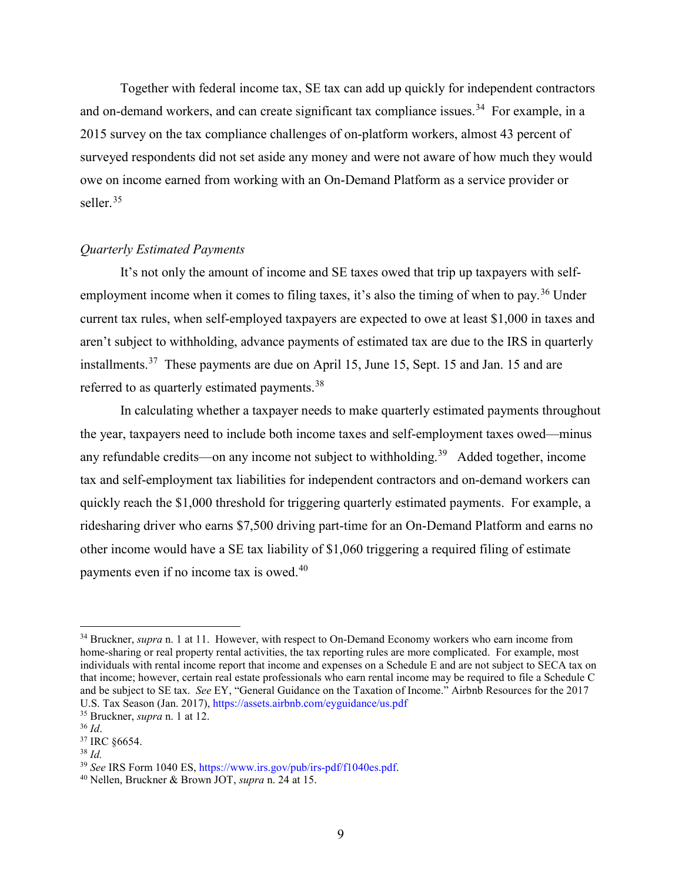Together with federal income tax, SE tax can add up quickly for independent contractors and on-demand workers, and can create significant tax compliance issues.<sup>[34](#page-13-0)</sup> For example, in a 2015 survey on the tax compliance challenges of on-platform workers, almost 43 percent of surveyed respondents did not set aside any money and were not aware of how much they would owe on income earned from working with an On-Demand Platform as a service provider or seller.<sup>35</sup>

## *Quarterly Estimated Payments*

It's not only the amount of income and SE taxes owed that trip up taxpayers with self-employment income when it comes to filing taxes, it's also the timing of when to pay.<sup>[36](#page-13-2)</sup> Under current tax rules, when self-employed taxpayers are expected to owe at least \$1,000 in taxes and aren't subject to withholding, advance payments of estimated tax are due to the IRS in quarterly installments.<sup>37</sup> These payments are due on April 15, June 15, Sept. 15 and Jan. 15 and are referred to as quarterly estimated payments.<sup>[38](#page-13-4)</sup>

In calculating whether a taxpayer needs to make quarterly estimated payments throughout the year, taxpayers need to include both income taxes and self-employment taxes owed—minus any refundable credits—on any income not subject to withholding.<sup>39</sup> Added together, income tax and self-employment tax liabilities for independent contractors and on-demand workers can quickly reach the \$1,000 threshold for triggering quarterly estimated payments. For example, a ridesharing driver who earns \$7,500 driving part-time for an On-Demand Platform and earns no other income would have a SE tax liability of \$1,060 triggering a required filing of estimate payments even if no income tax is owed.[40](#page-13-6)

<span id="page-13-0"></span><sup>&</sup>lt;sup>34</sup> Bruckner, *supra* n. 1 at 11. However, with respect to On-Demand Economy workers who earn income from home-sharing or real property rental activities, the tax reporting rules are more complicated. For example, most individuals with rental income report that income and expenses on a Schedule E and are not subject to SECA tax on that income; however, certain real estate professionals who earn rental income may be required to file a Schedule C and be subject to SE tax. *See* EY, "General Guidance on the Taxation of Income." Airbnb Resources for the 2017 U.S. Tax Season (Jan. 2017), https://assets.airbnb.com/eyguidance/us.pdf<br><sup>35</sup> Bruckner, *supra* n. 1 at 12.<br><sup>36</sup> *Id*. <sup>37</sup> IRC §6654.

<span id="page-13-1"></span>

<span id="page-13-2"></span>

<span id="page-13-4"></span><span id="page-13-3"></span><sup>38</sup> *Id.*

<span id="page-13-5"></span><sup>39</sup> *See* IRS Form 1040 ES, [https://www.irs.gov/pub/irs-pdf/f1040es.pdf.](https://www.irs.gov/pub/irs-pdf/f1040es.pdf)

<span id="page-13-6"></span><sup>40</sup> Nellen, Bruckner & Brown JOT, *supra* n. 24 at 15.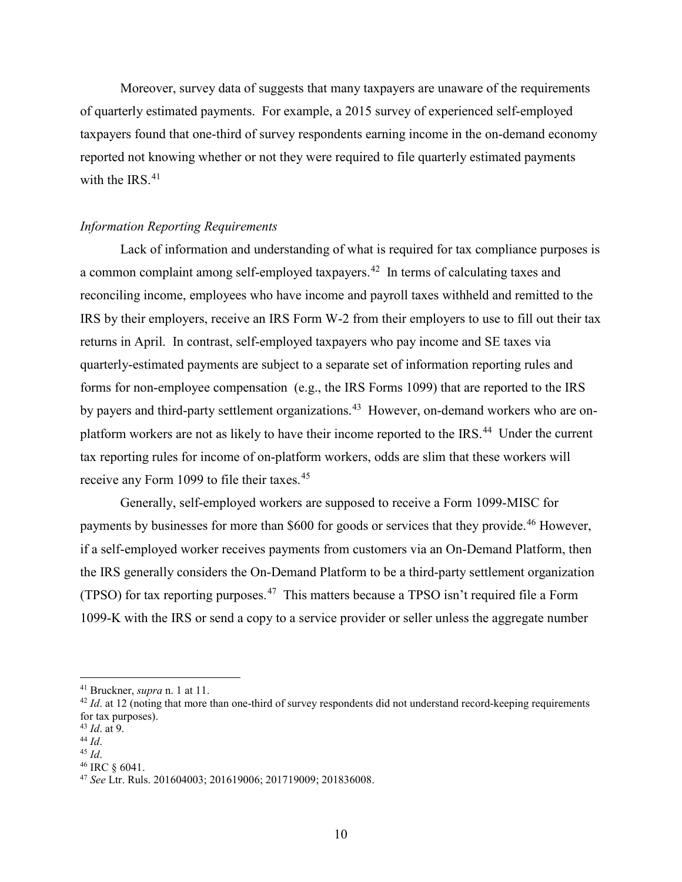Moreover, survey data of suggests that many taxpayers are unaware of the requirements of quarterly estimated payments. For example, a 2015 survey of experienced self-employed taxpayers found that one-third of survey respondents earning income in the on-demand economy reported not knowing whether or not they were required to file quarterly estimated payments with the  $IRS<sub>1</sub><sup>41</sup>$  $IRS<sub>1</sub><sup>41</sup>$  $IRS<sub>1</sub><sup>41</sup>$ 

## *Information Reporting Requirements*

Lack of information and understanding of what is required for tax compliance purposes is a common complaint among self-employed taxpayers.[42](#page-14-1) In terms of calculating taxes and reconciling income, employees who have income and payroll taxes withheld and remitted to the IRS by their employers, receive an IRS Form W-2 from their employers to use to fill out their tax returns in April. In contrast, self-employed taxpayers who pay income and SE taxes via quarterly-estimated payments are subject to a separate set of information reporting rules and forms for non-employee compensation (e.g., the IRS Forms 1099) that are reported to the IRS by payers and third-party settlement organizations.<sup>43</sup> However, on-demand workers who are onplatform workers are not as likely to have their income reported to the IRS.<sup>44</sup> Under the current tax reporting rules for income of on-platform workers, odds are slim that these workers will receive any Form 1099 to file their taxes.<sup>45</sup>

Generally, self-employed workers are supposed to receive a Form 1099-MISC for payments by businesses for more than \$600 for goods or services that they provide.<sup>[46](#page-14-5)</sup> However, if a self-employed worker receives payments from customers via an On-Demand Platform, then the IRS generally considers the On-Demand Platform to be a third-party settlement organization (TPSO) for tax reporting purposes.<sup>[47](#page-14-6)</sup> This matters because a TPSO isn't required file a Form 1099-K with the IRS or send a copy to a service provider or seller unless the aggregate number

<span id="page-14-1"></span><span id="page-14-0"></span><sup>&</sup>lt;sup>41</sup> Bruckner, *supra* n. 1 at 11.<br><sup>42</sup> *Id.* at 12 (noting that more than one-third of survey respondents did not understand record-keeping requirements for tax purposes).<br> $43$  *Id*. at 9.

<span id="page-14-4"></span><span id="page-14-3"></span><span id="page-14-2"></span><sup>&</sup>lt;sup>44</sup> *Id.*<br><sup>45</sup> *Id.* 46 IRC § 6041.

<span id="page-14-6"></span><span id="page-14-5"></span><sup>47</sup> *See* Ltr. Ruls. 201604003; 201619006; 201719009; 201836008.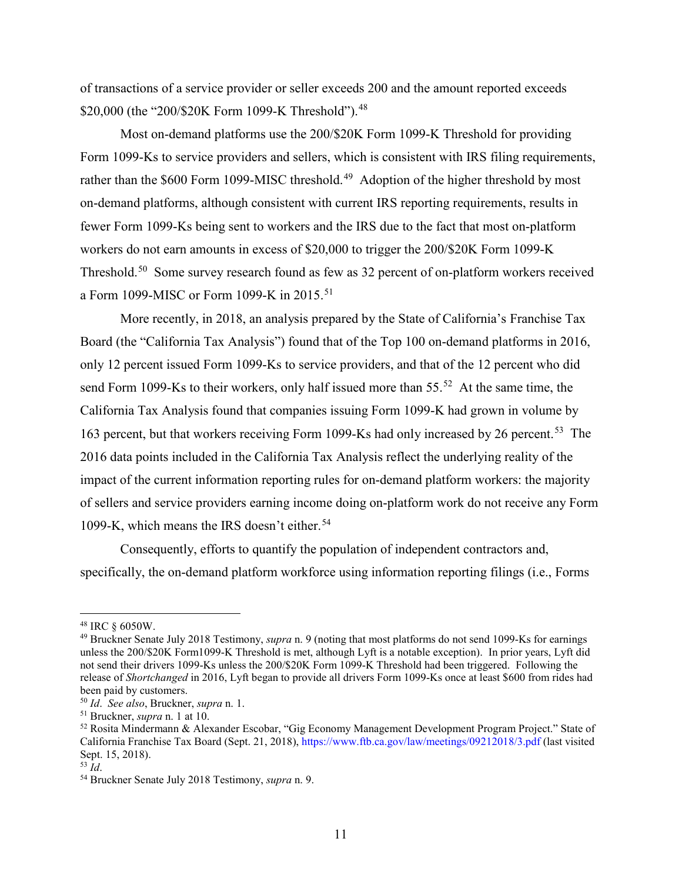of transactions of a service provider or seller exceeds 200 and the amount reported exceeds \$20,000 (the "200/\$20K Form 1099-K Threshold").<sup>[48](#page-15-0)</sup>

Most on-demand platforms use the 200/\$20K Form 1099-K Threshold for providing Form 1099-Ks to service providers and sellers, which is consistent with IRS filing requirements, rather than the \$600 Form 1099-MISC threshold.<sup>49</sup> Adoption of the higher threshold by most on-demand platforms, although consistent with current IRS reporting requirements, results in fewer Form 1099-Ks being sent to workers and the IRS due to the fact that most on-platform workers do not earn amounts in excess of \$20,000 to trigger the 200/\$20K Form 1099-K Threshold.<sup>[50](#page-15-2)</sup> Some survey research found as few as 32 percent of on-platform workers received a Form 1099-MISC or Form 1099-K in 2015.<sup>[51](#page-15-3)</sup>

More recently, in 2018, an analysis prepared by the State of California's Franchise Tax Board (the "California Tax Analysis") found that of the Top 100 on-demand platforms in 2016, only 12 percent issued Form 1099-Ks to service providers, and that of the 12 percent who did send Form 1099-Ks to their workers, only half issued more than 55.<sup>[52](#page-15-4)</sup> At the same time, the California Tax Analysis found that companies issuing Form 1099-K had grown in volume by 163 percent, but that workers receiving Form 1099-Ks had only increased by 26 percent.<sup>[53](#page-15-5)</sup> The 2016 data points included in the California Tax Analysis reflect the underlying reality of the impact of the current information reporting rules for on-demand platform workers: the majority of sellers and service providers earning income doing on-platform work do not receive any Form 1099-K, which means the IRS doesn't either.<sup>[54](#page-15-6)</sup>

Consequently, efforts to quantify the population of independent contractors and, specifically, the on-demand platform workforce using information reporting filings (i.e., Forms

<span id="page-15-0"></span> <sup>48</sup> IRC § 6050W.

<span id="page-15-1"></span><sup>49</sup> Bruckner Senate July 2018 Testimony, *supra* n. 9 (noting that most platforms do not send 1099-Ks for earnings unless the 200/\$20K Form1099-K Threshold is met, although Lyft is a notable exception). In prior years, Lyft did not send their drivers 1099-Ks unless the 200/\$20K Form 1099-K Threshold had been triggered. Following the release of *Shortchanged* in 2016, Lyft began to provide all drivers Form 1099-Ks once at least \$600 from rides had been paid by customers.<br><sup>50</sup> Id. See also, Bruckner, supra n. 1.

<span id="page-15-2"></span>

<span id="page-15-4"></span><span id="page-15-3"></span><sup>&</sup>lt;sup>51</sup> Bruckner, *supra* n. 1 at 10.<br><sup>52</sup> Rosita Mindermann & Alexander Escobar, "Gig Economy Management Development Program Project." State of California Franchise Tax Board (Sept. 21, 2018),<https://www.ftb.ca.gov/law/meetings/09212018/3.pdf> (last visited Sept. 15, 2018).

<span id="page-15-5"></span><sup>53</sup> *Id*.

<span id="page-15-6"></span><sup>54</sup> Bruckner Senate July 2018 Testimony, *supra* n. 9.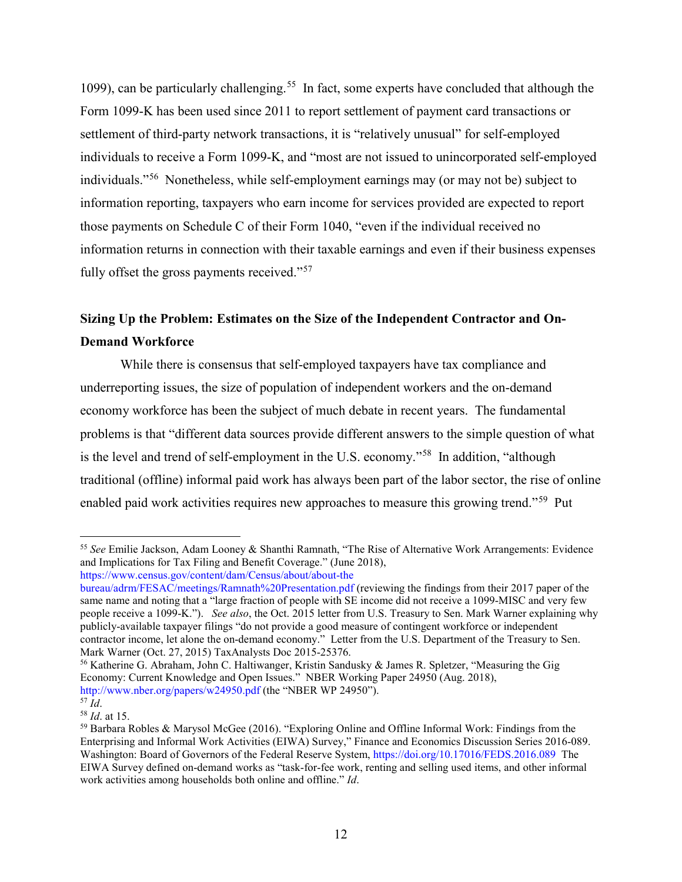1099), can be particularly challenging.<sup>55</sup> In fact, some experts have concluded that although the Form 1099-K has been used since 2011 to report settlement of payment card transactions or settlement of third-party network transactions, it is "relatively unusual" for self-employed individuals to receive a Form 1099-K, and "most are not issued to unincorporated self-employed individuals."[56](#page-16-1) Nonetheless, while self-employment earnings may (or may not be) subject to information reporting, taxpayers who earn income for services provided are expected to report those payments on Schedule C of their Form 1040, "even if the individual received no information returns in connection with their taxable earnings and even if their business expenses fully offset the gross payments received."<sup>[57](#page-16-2)</sup>

# **Sizing Up the Problem: Estimates on the Size of the Independent Contractor and On-Demand Workforce**

While there is consensus that self-employed taxpayers have tax compliance and underreporting issues, the size of population of independent workers and the on-demand economy workforce has been the subject of much debate in recent years. The fundamental problems is that "different data sources provide different answers to the simple question of what is the level and trend of self-employment in the U.S. economy."[58](#page-16-3) In addition, "although traditional (offline) informal paid work has always been part of the labor sector, the rise of online enabled paid work activities requires new approaches to measure this growing trend."<sup>59</sup> Put

<span id="page-16-0"></span> <sup>55</sup> *See* Emilie Jackson, Adam Looney & Shanthi Ramnath, "The Rise of Alternative Work Arrangements: Evidence and Implications for Tax Filing and Benefit Coverage." (June 2018), [https://www.census.gov/content/dam/Census/about/about-the](https://www.census.gov/content/dam/Census/about/about-the%20bureau/adrm/FESAC/meetings/Ramnath%20Presentation.pdf) 

[bureau/adrm/FESAC/meetings/Ramnath%20Presentation.pdf](https://www.census.gov/content/dam/Census/about/about-the%20bureau/adrm/FESAC/meetings/Ramnath%20Presentation.pdf) (reviewing the findings from their 2017 paper of the same name and noting that a "large fraction of people with SE income did not receive a 1099-MISC and very few people receive a 1099-K."). *See also*, the Oct. 2015 letter from U.S. Treasury to Sen. Mark Warner explaining why publicly-available taxpayer filings "do not provide a good measure of contingent workforce or independent contractor income, let alone the on-demand economy." Letter from the U.S. Department of the Treasury to Sen. Mark Warner (Oct. 27, 2015) TaxAnalysts Doc 2015-25376.

<span id="page-16-1"></span><sup>56</sup> Katherine G. Abraham, John C. Haltiwanger, Kristin Sandusky & James R. Spletzer, "Measuring the Gig Economy: Current Knowledge and Open Issues." NBER Working Paper 24950 (Aug. 2018),

<span id="page-16-4"></span><span id="page-16-3"></span>

<span id="page-16-2"></span>http://www.nber.org/papers/w24950.pdf (the "NBER WP 24950").<br><sup>57</sup> *Id*. 58 *Id*. at 15.<br><sup>58</sup> Barbara Robles & Marysol McGee (2016). "Exploring Online and Offline Informal Work: Findings from the Enterprising and Informal Work Activities (EIWA) Survey," Finance and Economics Discussion Series 2016-089. Washington: Board of Governors of the Federal Reserve System,<https://doi.org/10.17016/FEDS.2016.089>The EIWA Survey defined on-demand works as "task-for-fee work, renting and selling used items, and other informal work activities among households both online and offline." *Id*.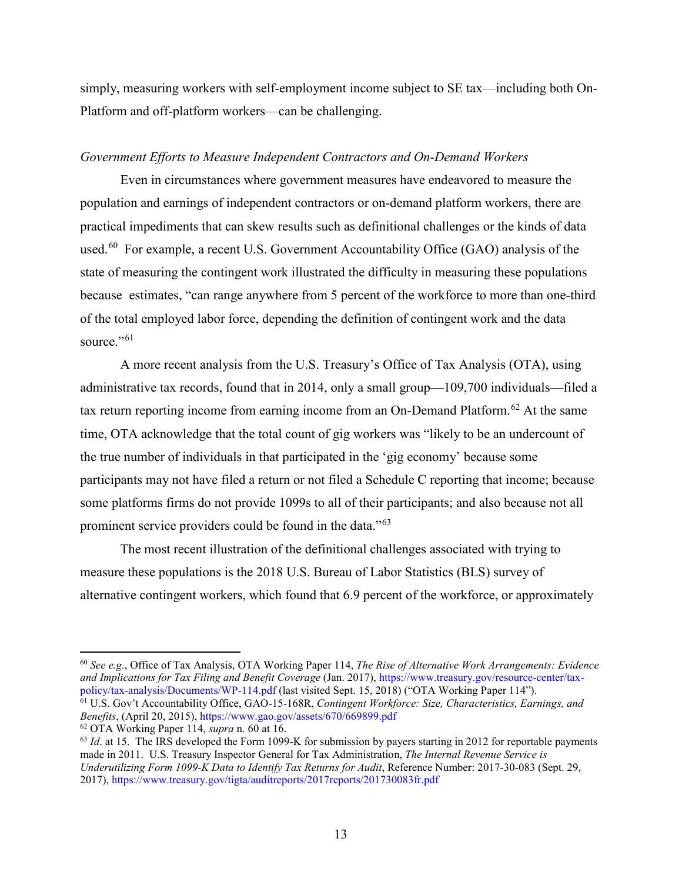simply, measuring workers with self-employment income subject to SE tax—including both On-Platform and off-platform workers—can be challenging.

#### *Government Efforts to Measure Independent Contractors and On-Demand Workers*

Even in circumstances where government measures have endeavored to measure the population and earnings of independent contractors or on-demand platform workers, there are practical impediments that can skew results such as definitional challenges or the kinds of data used.<sup>60</sup> For example, a recent U.S. Government Accountability Office (GAO) analysis of the state of measuring the contingent work illustrated the difficulty in measuring these populations because estimates, "can range anywhere from 5 percent of the workforce to more than one-third of the total employed labor force, depending the definition of contingent work and the data source." $61$ 

A more recent analysis from the U.S. Treasury's Office of Tax Analysis (OTA), using administrative tax records, found that in 2014, only a small group—109,700 individuals—filed a tax return reporting income from earning income from an On-Demand Platform.<sup>[62](#page-17-2)</sup> At the same time, OTA acknowledge that the total count of gig workers was "likely to be an undercount of the true number of individuals in that participated in the 'gig economy' because some participants may not have filed a return or not filed a Schedule C reporting that income; because some platforms firms do not provide 1099s to all of their participants; and also because not all prominent service providers could be found in the data."[63](#page-17-3)

The most recent illustration of the definitional challenges associated with trying to measure these populations is the 2018 U.S. Bureau of Labor Statistics (BLS) survey of alternative contingent workers, which found that 6.9 percent of the workforce, or approximately

<span id="page-17-0"></span> 60 *See e.g.*, Office of Tax Analysis, OTA Working Paper 114, *The Rise of Alternative Work Arrangements: Evidence*  and Implications for Tax Filing and Benefit Coverage (Jan. 2017), https://www.treasury.gov/resource-center/tax-<br>policy/tax-analysis/Documents/WP-114.pdf (last visited Sept. 15, 2018) ("OTA Working Paper 114"). <sup>61</sup> U.S. Gov't Accountability Office, GAO-15-168R, *Contingent Workforce: Size, Characteristics, Earnings, and Benefits*, (April 20, 2015)[, https://www.gao.gov/assets/670/669899.pdf](https://www.gao.gov/assets/670/669899.pdf) <sup>62</sup> OTA Working Paper 114, *supra* n. 60 at 16.

<span id="page-17-2"></span><span id="page-17-1"></span>

<span id="page-17-3"></span><sup>&</sup>lt;sup>63</sup> Id. at 15. The IRS developed the Form 1099-K for submission by payers starting in 2012 for reportable payments made in 2011. U.S. Treasury Inspector General for Tax Administration, *The Internal Revenue Service is Underutilizing Form 1099-K Data to Identify Tax Returns for Audit*, Reference Number: 2017-30-083 (Sept. 29, 2017),<https://www.treasury.gov/tigta/auditreports/2017reports/201730083fr.pdf>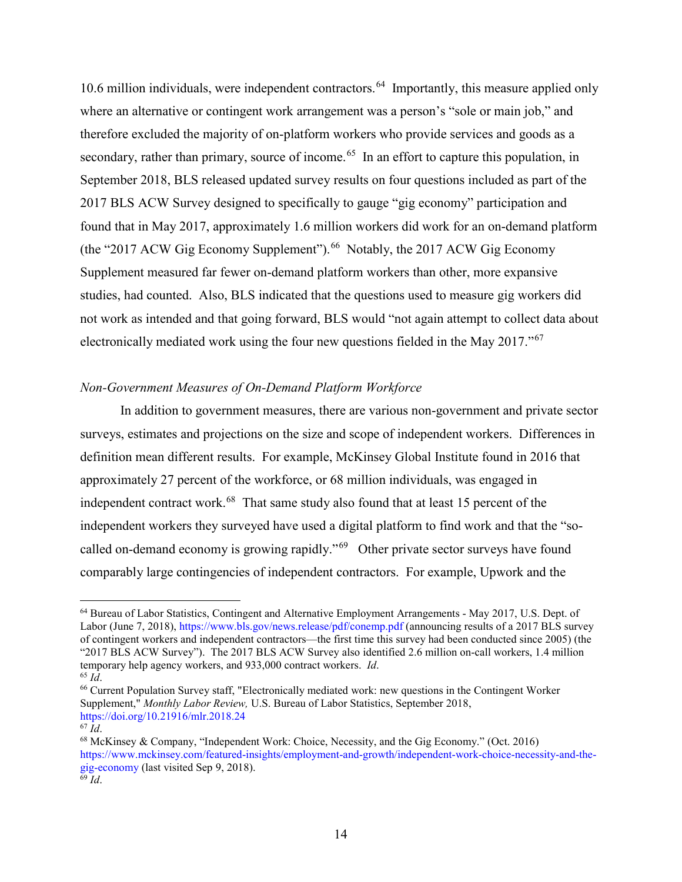10.6 million individuals, were independent contractors.<sup>64</sup> Importantly, this measure applied only where an alternative or contingent work arrangement was a person's "sole or main job," and therefore excluded the majority of on-platform workers who provide services and goods as a secondary, rather than primary, source of income.<sup>65</sup> In an effort to capture this population, in September 2018, BLS released updated survey results on four questions included as part of the 2017 BLS ACW Survey designed to specifically to gauge "gig economy" participation and found that in May 2017, approximately 1.6 million workers did work for an on-demand platform (the "2017 ACW Gig Economy Supplement").<sup>[66](#page-18-2)</sup> Notably, the 2017 ACW Gig Economy Supplement measured far fewer on-demand platform workers than other, more expansive studies, had counted. Also, BLS indicated that the questions used to measure gig workers did not work as intended and that going forward, BLS would "not again attempt to collect data about electronically mediated work using the four new questions fielded in the May 2017."[67](#page-18-3)

## *Non-Government Measures of On-Demand Platform Workforce*

In addition to government measures, there are various non-government and private sector surveys, estimates and projections on the size and scope of independent workers. Differences in definition mean different results. For example, McKinsey Global Institute found in 2016 that approximately 27 percent of the workforce, or 68 million individuals, was engaged in independent contract work.<sup>68</sup> That same study also found that at least 15 percent of the independent workers they surveyed have used a digital platform to find work and that the "socalled on-demand economy is growing rapidly."<sup>69</sup> Other private sector surveys have found comparably large contingencies of independent contractors. For example, Upwork and the

<span id="page-18-0"></span> <sup>64</sup> Bureau of Labor Statistics, Contingent and Alternative Employment Arrangements - May 2017, U.S. Dept. of Labor (June 7, 2018),<https://www.bls.gov/news.release/pdf/conemp.pdf> (announcing results of a 2017 BLS survey of contingent workers and independent contractors—the first time this survey had been conducted since 2005) (the "2017 BLS ACW Survey"). The 2017 BLS ACW Survey also identified 2.6 million on-call workers, 1.4 million temporary help agency workers, and 933,000 contract workers. *Id*.

<span id="page-18-2"></span><span id="page-18-1"></span>

<sup>&</sup>lt;sup>65</sup> *Id.* 65 *Id.* 65 *Id.* 65 *Id.* 65 *Id.* 65 *Id.* 65 *Id.* 65 *Id.* 65 *Id.* 65 *Id.* 66 *Current Population Survey staff, "Electronically mediated work: new questions in the Contingent Worker* Supplement," *Monthly Labor Review,* U.S. Bureau of Labor Statistics, September 2018, <https://doi.org/10.21916/mlr.2018.24><br><sup>67</sup> Id.

<span id="page-18-5"></span><span id="page-18-4"></span><span id="page-18-3"></span><sup>&</sup>lt;sup>68</sup> McKinsey & Company, "Independent Work: Choice, Necessity, and the Gig Economy." (Oct. 2016) [https://www.mckinsey.com/featured-insights/employment-and-growth/independent-work-choice-necessity-and-the](https://www.mckinsey.com/featured-insights/employment-and-growth/independent-work-choice-necessity-and-the-gig-economy)[gig-economy](https://www.mckinsey.com/featured-insights/employment-and-growth/independent-work-choice-necessity-and-the-gig-economy) (last visited Sep 9, 2018).  $69H$ <sub>*d.*</sub>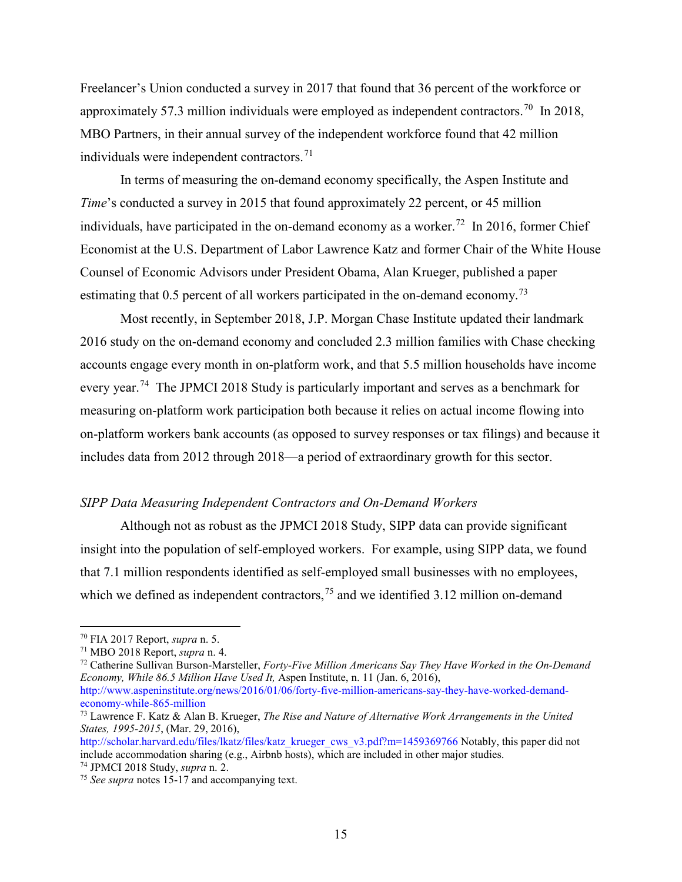Freelancer's Union conducted a survey in 2017 that found that 36 percent of the workforce or approximately 57.3 million individuals were employed as independent contractors.<sup>70</sup> In 2018, MBO Partners, in their annual survey of the independent workforce found that 42 million individuals were independent contractors. $71$ 

In terms of measuring the on-demand economy specifically, the Aspen Institute and *Time*'s conducted a survey in 2015 that found approximately 22 percent, or 45 million individuals, have participated in the on-demand economy as a worker.<sup>72</sup> In 2016, former Chief Economist at the U.S. Department of Labor Lawrence Katz and former Chair of the White House Counsel of Economic Advisors under President Obama, Alan Krueger, published a paper estimating that 0.5 percent of all workers participated in the on-demand economy.<sup>[73](#page-19-3)</sup>

Most recently, in September 2018, J.P. Morgan Chase Institute updated their landmark 2016 study on the on-demand economy and concluded 2.3 million families with Chase checking accounts engage every month in on-platform work, and that 5.5 million households have income every year.<sup>74</sup> The JPMCI 2018 Study is particularly important and serves as a benchmark for measuring on-platform work participation both because it relies on actual income flowing into on-platform workers bank accounts (as opposed to survey responses or tax filings) and because it includes data from 2012 through 2018—a period of extraordinary growth for this sector.

## *SIPP Data Measuring Independent Contractors and On-Demand Workers*

Although not as robust as the JPMCI 2018 Study, SIPP data can provide significant insight into the population of self-employed workers. For example, using SIPP data, we found that 7.1 million respondents identified as self-employed small businesses with no employees, which we defined as independent contractors,  $75$  and we identified 3.12 million on-demand

[http://scholar.harvard.edu/files/lkatz/files/katz\\_krueger\\_cws\\_v3.pdf?m=1459369766](http://scholar.harvard.edu/files/lkatz/files/katz_krueger_cws_v3.pdf?m=1459369766) Notably, this paper did not include accommodation sharing (e.g., Airbnb hosts), which are included in other major studies.<br><sup>74</sup> JPMCI 2018 Study, *supra* n. 2.

<span id="page-19-2"></span>

<span id="page-19-1"></span><span id="page-19-0"></span><sup>&</sup>lt;sup>70</sup> FIA 2017 Report, *supra* n. 5.<br><sup>71</sup> MBO 2018 Report, *supra* n. 4.<br><sup>72</sup> Catherine Sullivan Burson-Marsteller, *Forty-Five Million Americans Say They Have Worked in the On-Demand Economy, While 86.5 Million Have Used It,* Aspen Institute, n. 11 (Jan. 6, 2016), [http://www.aspeninstitute.org/news/2016/01/06/forty-five-million-americans-say-they-have-worked-demand](http://www.aspeninstitute.org/news/2016/01/06/forty-five-million-americans-say-they-have-worked-demand-economy-while-865-million)[economy-while-865-million](http://www.aspeninstitute.org/news/2016/01/06/forty-five-million-americans-say-they-have-worked-demand-economy-while-865-million)

<span id="page-19-3"></span><sup>73</sup> Lawrence F. Katz & Alan B. Krueger, *The Rise and Nature of Alternative Work Arrangements in the United States, 1995-2015*, (Mar. 29, 2016),

<span id="page-19-5"></span><span id="page-19-4"></span><sup>&</sup>lt;sup>75</sup> See supra notes 15-17 and accompanying text.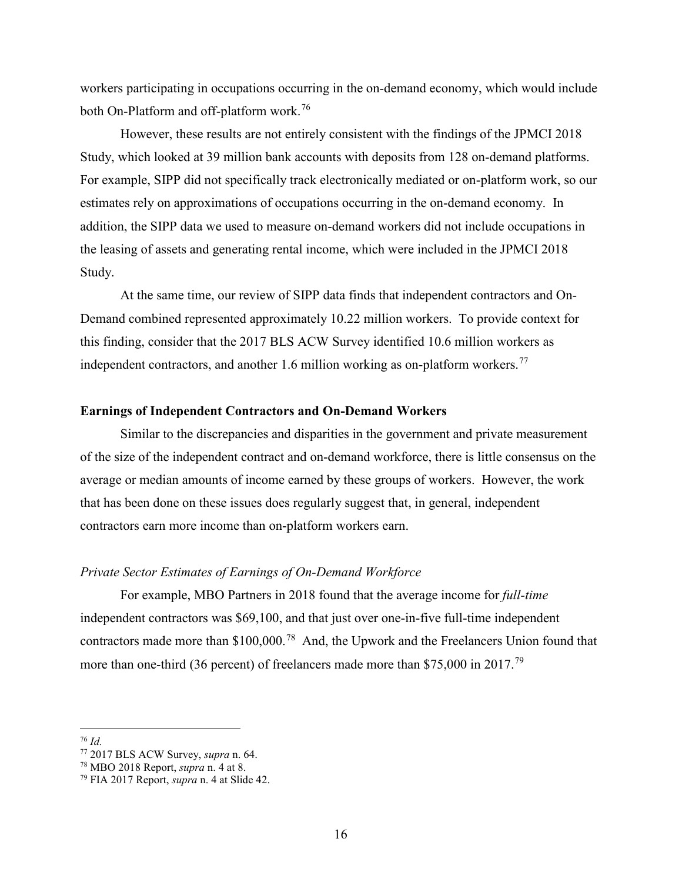workers participating in occupations occurring in the on-demand economy, which would include both On-Platform and off-platform work. [76](#page-20-0)

However, these results are not entirely consistent with the findings of the JPMCI 2018 Study, which looked at 39 million bank accounts with deposits from 128 on-demand platforms. For example, SIPP did not specifically track electronically mediated or on-platform work, so our estimates rely on approximations of occupations occurring in the on-demand economy. In addition, the SIPP data we used to measure on-demand workers did not include occupations in the leasing of assets and generating rental income, which were included in the JPMCI 2018 Study.

At the same time, our review of SIPP data finds that independent contractors and On-Demand combined represented approximately 10.22 million workers. To provide context for this finding, consider that the 2017 BLS ACW Survey identified 10.6 million workers as independent contractors, and another 1.6 million working as on-platform workers.<sup>[77](#page-20-1)</sup>

## **Earnings of Independent Contractors and On-Demand Workers**

Similar to the discrepancies and disparities in the government and private measurement of the size of the independent contract and on-demand workforce, there is little consensus on the average or median amounts of income earned by these groups of workers. However, the work that has been done on these issues does regularly suggest that, in general, independent contractors earn more income than on-platform workers earn.

## *Private Sector Estimates of Earnings of On-Demand Workforce*

For example, MBO Partners in 2018 found that the average income for *full-time* independent contractors was \$69,100, and that just over one-in-five full-time independent contractors made more than \$100,000.<sup>[78](#page-20-2)</sup> And, the Upwork and the Freelancers Union found that more than one-third (36 percent) of freelancers made more than \$75,000 in 2017.<sup>79</sup>

<span id="page-20-0"></span><sup>&</sup>lt;sup>76</sup> *Id.* **77** 2017 BLS ACW Survey, *supra* n. 64.

<span id="page-20-3"></span><span id="page-20-2"></span><span id="page-20-1"></span><sup>&</sup>lt;sup>78</sup> MBO 2018 Report, *supra* n. 4 at 8.<br><sup>79</sup> FIA 2017 Report, *supra* n. 4 at Slide 42.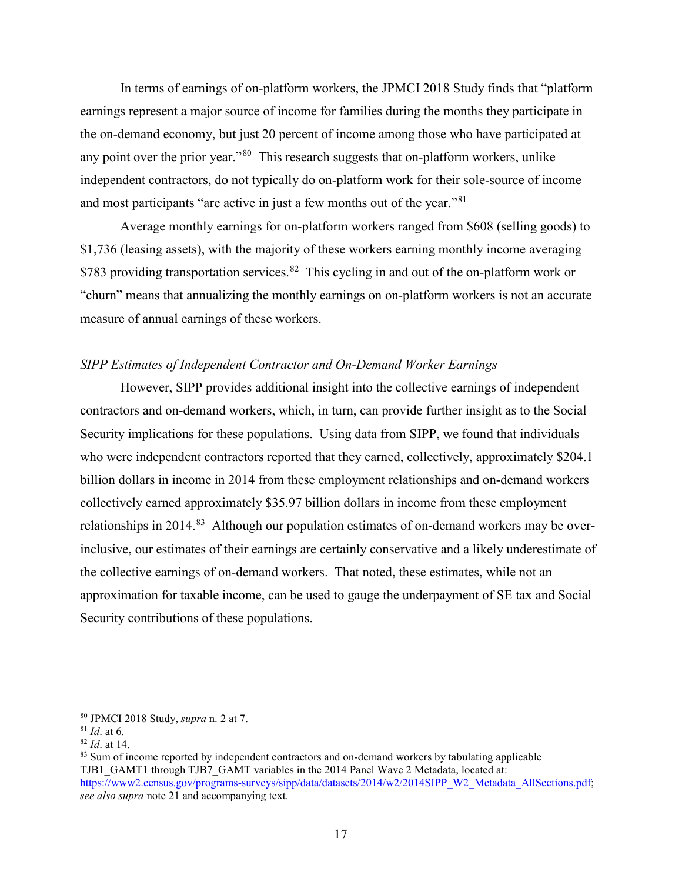In terms of earnings of on-platform workers, the JPMCI 2018 Study finds that "platform earnings represent a major source of income for families during the months they participate in the on-demand economy, but just 20 percent of income among those who have participated at any point over the prior year."<sup>80</sup> This research suggests that on-platform workers, unlike independent contractors, do not typically do on-platform work for their sole-source of income and most participants "are active in just a few months out of the year."[81](#page-21-1)

Average monthly earnings for on-platform workers ranged from \$608 (selling goods) to \$1,736 (leasing assets), with the majority of these workers earning monthly income averaging \$783 providing transportation services.<sup>82</sup> This cycling in and out of the on-platform work or "churn" means that annualizing the monthly earnings on on-platform workers is not an accurate measure of annual earnings of these workers.

## *SIPP Estimates of Independent Contractor and On-Demand Worker Earnings*

However, SIPP provides additional insight into the collective earnings of independent contractors and on-demand workers, which, in turn, can provide further insight as to the Social Security implications for these populations. Using data from SIPP, we found that individuals who were independent contractors reported that they earned, collectively, approximately \$204.1 billion dollars in income in 2014 from these employment relationships and on-demand workers collectively earned approximately \$35.97 billion dollars in income from these employment relationships in 2014.<sup>[83](#page-21-3)</sup> Although our population estimates of on-demand workers may be overinclusive, our estimates of their earnings are certainly conservative and a likely underestimate of the collective earnings of on-demand workers. That noted, these estimates, while not an approximation for taxable income, can be used to gauge the underpayment of SE tax and Social Security contributions of these populations.

<span id="page-21-1"></span><span id="page-21-0"></span>80 JPMCI 2018 Study, *supra* n. 2 at 7.<br><sup>81</sup> *Id.* at 6.<br><sup>82</sup> *Id.* at 14. 83 Sum of income reported by independent contractors and on-demand workers by tabulating applicable TJB1\_GAMT1 through TJB7\_GAMT variables in the 2014 Panel Wave 2 Metadata, located at: [https://www2.census.gov/programs-surveys/sipp/data/datasets/2014/w2/2014SIPP\\_W2\\_Metadata\\_AllSections.pdf;](https://www2.census.gov/programs-surveys/sipp/data/datasets/2014/w2/2014SIPP_W2_Metadata_AllSections.pdf) *see also supra* note 21 and accompanying text.

<span id="page-21-3"></span><span id="page-21-2"></span>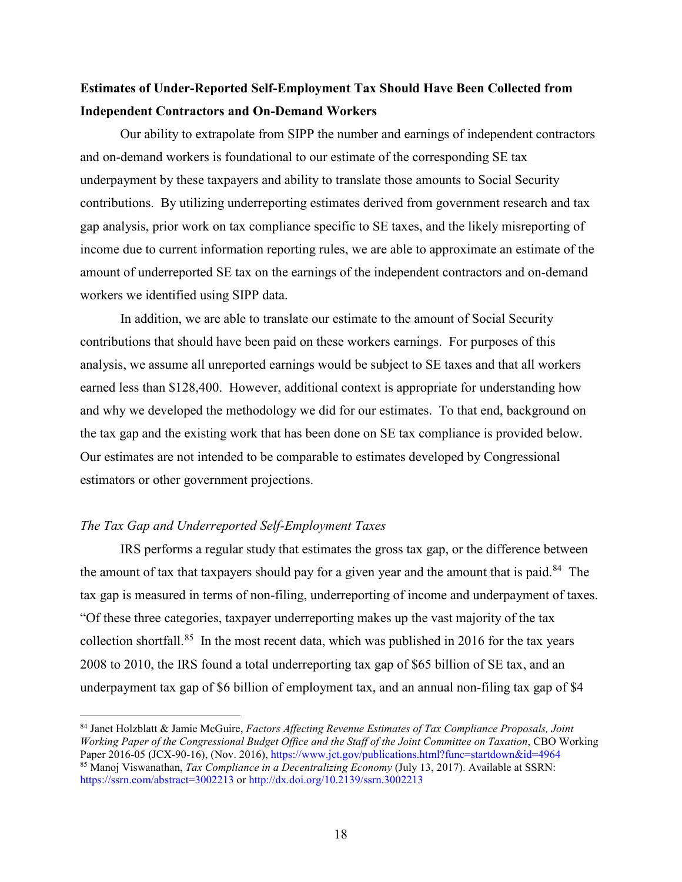## **Estimates of Under-Reported Self-Employment Tax Should Have Been Collected from Independent Contractors and On-Demand Workers**

Our ability to extrapolate from SIPP the number and earnings of independent contractors and on-demand workers is foundational to our estimate of the corresponding SE tax underpayment by these taxpayers and ability to translate those amounts to Social Security contributions. By utilizing underreporting estimates derived from government research and tax gap analysis, prior work on tax compliance specific to SE taxes, and the likely misreporting of income due to current information reporting rules, we are able to approximate an estimate of the amount of underreported SE tax on the earnings of the independent contractors and on-demand workers we identified using SIPP data.

In addition, we are able to translate our estimate to the amount of Social Security contributions that should have been paid on these workers earnings. For purposes of this analysis, we assume all unreported earnings would be subject to SE taxes and that all workers earned less than \$128,400. However, additional context is appropriate for understanding how and why we developed the methodology we did for our estimates. To that end, background on the tax gap and the existing work that has been done on SE tax compliance is provided below. Our estimates are not intended to be comparable to estimates developed by Congressional estimators or other government projections.

## *The Tax Gap and Underreported Self-Employment Taxes*

IRS performs a regular study that estimates the gross tax gap, or the difference between the amount of tax that taxpayers should pay for a given year and the amount that is paid.<sup>84</sup> The tax gap is measured in terms of non-filing, underreporting of income and underpayment of taxes. "Of these three categories, taxpayer underreporting makes up the vast majority of the tax collection shortfall.<sup>[85](#page-22-1)</sup> In the most recent data, which was published in 2016 for the tax years 2008 to 2010, the IRS found a total underreporting tax gap of \$65 billion of SE tax, and an underpayment tax gap of \$6 billion of employment tax, and an annual non-filing tax gap of \$4

<span id="page-22-0"></span> <sup>84</sup> Janet Holzblatt & Jamie McGuire, *Factors Affecting Revenue Estimates of Tax Compliance Proposals, Joint Working Paper of the Congressional Budget Office and the Staff of the Joint Committee on Taxation*, CBO Working Paper 2016-05 (JCX-90-16), (Nov. 2016),<https://www.jct.gov/publications.html?func=startdown&id=4964> <sup>85</sup> Manoj Viswanathan, *Tax Compliance in a Decentralizing Economy* (July 13, 2017). Available at SSRN:

<span id="page-22-1"></span><https://ssrn.com/abstract=3002213> or<http://dx.doi.org/10.2139/ssrn.3002213>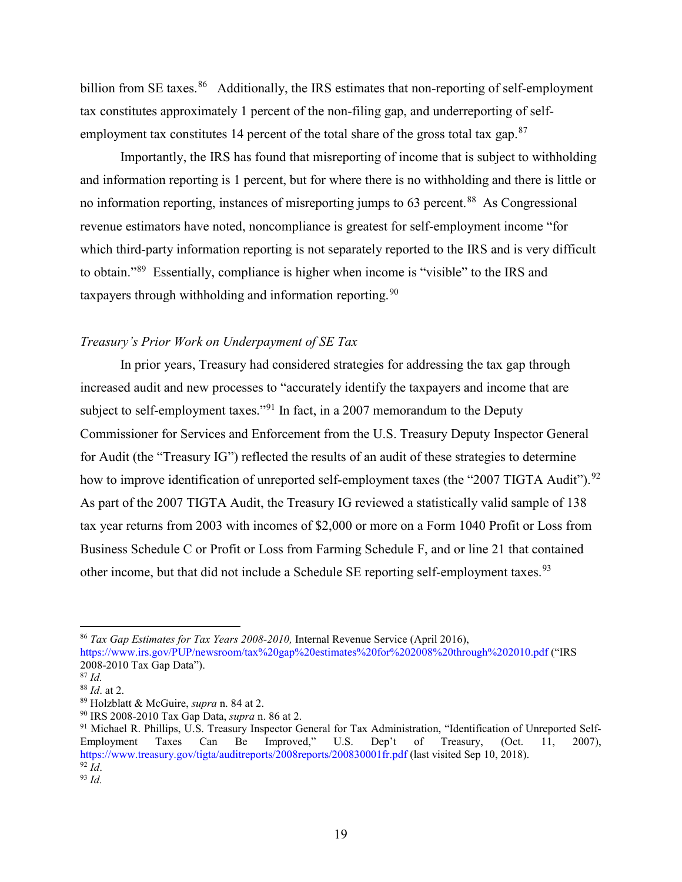billion from SE taxes.<sup>[86](#page-23-0)</sup> Additionally, the IRS estimates that non-reporting of self-employment tax constitutes approximately 1 percent of the non-filing gap, and underreporting of selfemployment tax constitutes 14 percent of the total share of the gross total tax gap.<sup>87</sup>

Importantly, the IRS has found that misreporting of income that is subject to withholding and information reporting is 1 percent, but for where there is no withholding and there is little or no information reporting, instances of misreporting jumps to 63 percent.<sup>88</sup> As Congressional revenue estimators have noted, noncompliance is greatest for self-employment income "for which third-party information reporting is not separately reported to the IRS and is very difficult to obtain."[89](#page-23-3) Essentially, compliance is higher when income is "visible" to the IRS and taxpayers through withholding and information reporting.  $90$ 

## *Treasury's Prior Work on Underpayment of SE Tax*

In prior years, Treasury had considered strategies for addressing the tax gap through increased audit and new processes to "accurately identify the taxpayers and income that are subject to self-employment taxes."<sup>[91](#page-23-5)</sup> In fact, in a 2007 memorandum to the Deputy Commissioner for Services and Enforcement from the U.S. Treasury Deputy Inspector General for Audit (the "Treasury IG") reflected the results of an audit of these strategies to determine how to improve identification of unreported self-employment taxes (the "2007 TIGTA Audit").<sup>[92](#page-23-6)</sup> As part of the 2007 TIGTA Audit, the Treasury IG reviewed a statistically valid sample of 138 tax year returns from 2003 with incomes of \$2,000 or more on a Form 1040 Profit or Loss from Business Schedule C or Profit or Loss from Farming Schedule F, and or line 21 that contained other income, but that did not include a Schedule SE reporting self-employment taxes.<sup>[93](#page-23-7)</sup>

<span id="page-23-0"></span> <sup>86</sup> *Tax Gap Estimates for Tax Years 2008-2010,* Internal Revenue Service (April 2016), <https://www.irs.gov/PUP/newsroom/tax%20gap%20estimates%20for%202008%20through%202010.pdf> ("IRS 2008-2010 Tax Gap Data"). 87 *Id.* 

<span id="page-23-2"></span><span id="page-23-1"></span>

<span id="page-23-4"></span><span id="page-23-3"></span>

<sup>&</sup>lt;sup>89</sup> Holzblatt & McGuire, *supra* n. 84 at 2.<br><sup>90</sup> IRS 2008-2010 Tax Gap Data, *supra* n. 86 at 2.

<span id="page-23-5"></span><sup>&</sup>lt;sup>91</sup> Michael R. Phillips, U.S. Treasury Inspector General for Tax Administration, "Identification of Unreported Self-<br>Employment Taxes Can Be Improved," U.S. Dep't of Treasury, (Oct. 11, 2007), Improved," U.S. Dep't of Treasury, (Oct. 11, 2007), <https://www.treasury.gov/tigta/auditreports/2008reports/200830001fr.pdf> (last visited Sep 10, 2018).<br><sup>92</sup> Id.

<span id="page-23-7"></span><span id="page-23-6"></span> $93$  *Id.*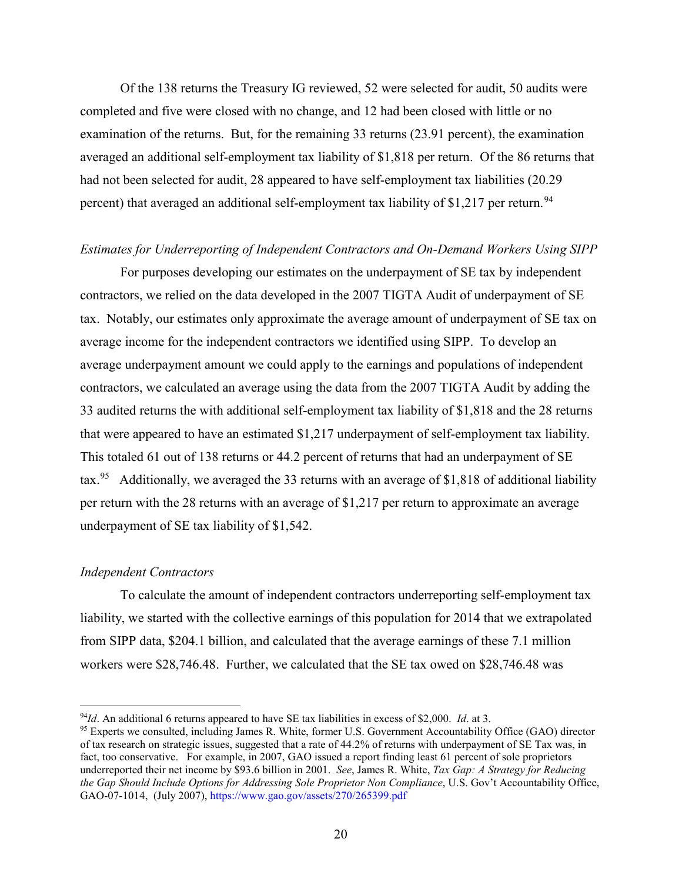Of the 138 returns the Treasury IG reviewed, 52 were selected for audit, 50 audits were completed and five were closed with no change, and 12 had been closed with little or no examination of the returns. But, for the remaining 33 returns (23.91 percent), the examination averaged an additional self-employment tax liability of \$1,818 per return. Of the 86 returns that had not been selected for audit, 28 appeared to have self-employment tax liabilities (20.29 percent) that averaged an additional self-employment tax liability of \$1,217 per return.<sup>94</sup>

#### *Estimates for Underreporting of Independent Contractors and On-Demand Workers Using SIPP*

For purposes developing our estimates on the underpayment of SE tax by independent contractors, we relied on the data developed in the 2007 TIGTA Audit of underpayment of SE tax. Notably, our estimates only approximate the average amount of underpayment of SE tax on average income for the independent contractors we identified using SIPP. To develop an average underpayment amount we could apply to the earnings and populations of independent contractors, we calculated an average using the data from the 2007 TIGTA Audit by adding the 33 audited returns the with additional self-employment tax liability of \$1,818 and the 28 returns that were appeared to have an estimated \$1,217 underpayment of self-employment tax liability. This totaled 61 out of 138 returns or 44.2 percent of returns that had an underpayment of SE tax.<sup>[95](#page-24-1)</sup> Additionally, we averaged the 33 returns with an average of \$1,818 of additional liability per return with the 28 returns with an average of \$1,217 per return to approximate an average underpayment of SE tax liability of \$1,542.

## *Independent Contractors*

To calculate the amount of independent contractors underreporting self-employment tax liability, we started with the collective earnings of this population for 2014 that we extrapolated from SIPP data, \$204.1 billion, and calculated that the average earnings of these 7.1 million workers were \$28,746.48. Further, we calculated that the SE tax owed on \$28,746.48 was

<span id="page-24-0"></span> <sup>94</sup>*Id*. An additional 6 returns appeared to have SE tax liabilities in excess of \$2,000. *Id*. at 3.

<span id="page-24-1"></span><sup>95</sup> Experts we consulted, including James R. White, former U.S. Government Accountability Office (GAO) director of tax research on strategic issues, suggested that a rate of 44.2% of returns with underpayment of SE Tax was, in fact, too conservative. For example, in 2007, GAO issued a report finding least 61 percent of sole proprietors underreported their net income by \$93.6 billion in 2001. *See*, James R. White, *Tax Gap: A Strategy for Reducing the Gap Should Include Options for Addressing Sole Proprietor Non Compliance*, U.S. Gov't Accountability Office, GAO-07-1014, (July 2007)[, https://www.gao.gov/assets/270/265399.pdf](https://www.gao.gov/assets/270/265399.pdf)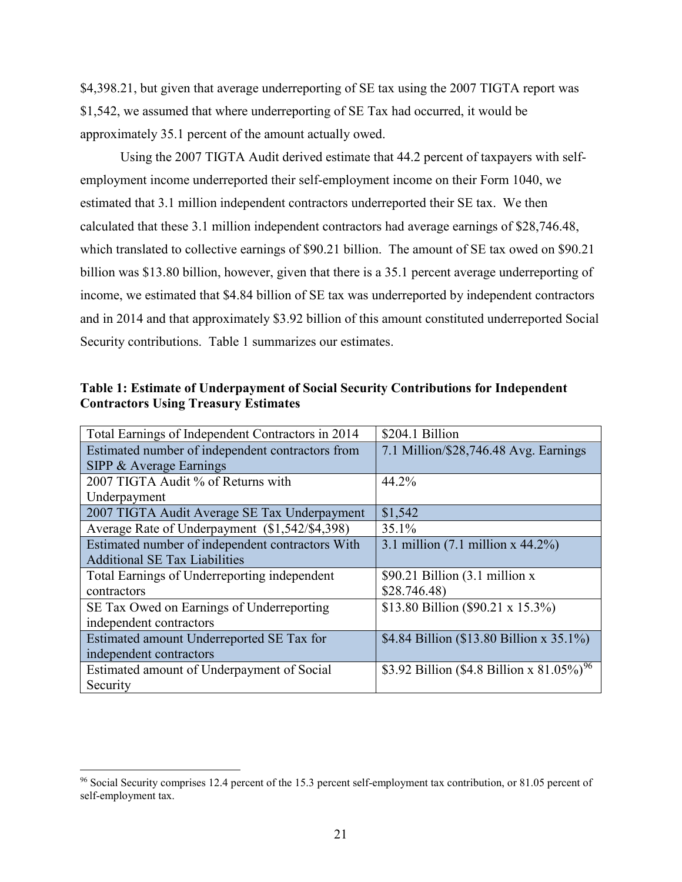\$4,398.21, but given that average underreporting of SE tax using the 2007 TIGTA report was \$1,542, we assumed that where underreporting of SE Tax had occurred, it would be approximately 35.1 percent of the amount actually owed.

Using the 2007 TIGTA Audit derived estimate that 44.2 percent of taxpayers with selfemployment income underreported their self-employment income on their Form 1040, we estimated that 3.1 million independent contractors underreported their SE tax. We then calculated that these 3.1 million independent contractors had average earnings of \$28,746.48, which translated to collective earnings of \$90.21 billion. The amount of SE tax owed on \$90.21 billion was \$13.80 billion, however, given that there is a 35.1 percent average underreporting of income, we estimated that \$4.84 billion of SE tax was underreported by independent contractors and in 2014 and that approximately \$3.92 billion of this amount constituted underreported Social Security contributions. Table 1 summarizes our estimates.

| Table 1: Estimate of Underpayment of Social Security Contributions for Independent |  |
|------------------------------------------------------------------------------------|--|
| <b>Contractors Using Treasury Estimates</b>                                        |  |

| Total Earnings of Independent Contractors in 2014 | \$204.1 Billion                                       |  |
|---------------------------------------------------|-------------------------------------------------------|--|
| Estimated number of independent contractors from  | 7.1 Million/\$28,746.48 Avg. Earnings                 |  |
| SIPP & Average Earnings                           |                                                       |  |
| 2007 TIGTA Audit % of Returns with                | 44.2%                                                 |  |
| Underpayment                                      |                                                       |  |
| 2007 TIGTA Audit Average SE Tax Underpayment      | \$1,542                                               |  |
| Average Rate of Underpayment (\$1,542/\$4,398)    | 35.1%                                                 |  |
| Estimated number of independent contractors With  | 3.1 million $(7.1 \text{ million x } 44.2\%)$         |  |
| <b>Additional SE Tax Liabilities</b>              |                                                       |  |
| Total Earnings of Underreporting independent      | $$90.21$ Billion $(3.1$ million x                     |  |
| contractors                                       | \$28.746.48                                           |  |
| SE Tax Owed on Earnings of Underreporting         | \$13.80 Billion (\$90.21 x 15.3%)                     |  |
| independent contractors                           |                                                       |  |
| Estimated amount Underreported SE Tax for         | \$4.84 Billion (\$13.80 Billion x 35.1%)              |  |
| independent contractors                           |                                                       |  |
| Estimated amount of Underpayment of Social        | \$3.92 Billion (\$4.8 Billion x 81.05%) <sup>96</sup> |  |
| Security                                          |                                                       |  |

<span id="page-25-0"></span> <sup>96</sup> Social Security comprises 12.4 percent of the 15.3 percent self-employment tax contribution, or 81.05 percent of self-employment tax.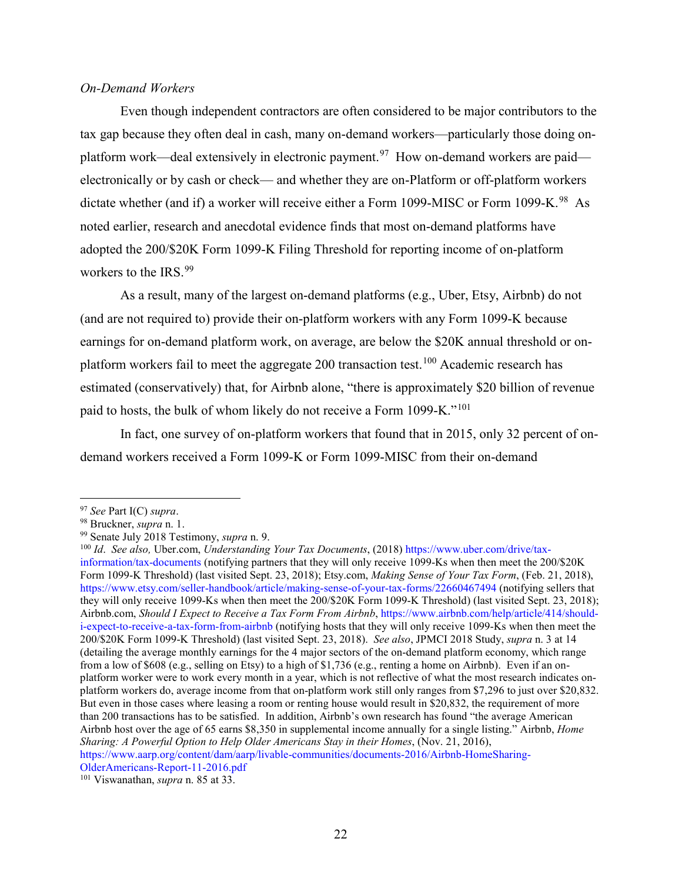## *On-Demand Workers*

Even though independent contractors are often considered to be major contributors to the tax gap because they often deal in cash, many on-demand workers—particularly those doing on-platform work—deal extensively in electronic payment.<sup>[97](#page-26-0)</sup> How on-demand workers are paid electronically or by cash or check— and whether they are on-Platform or off-platform workers dictate whether (and if) a worker will receive either a Form 1099-MISC or Form 1099-K.<sup>[98](#page-26-1)</sup> As noted earlier, research and anecdotal evidence finds that most on-demand platforms have adopted the 200/\$20K Form 1099-K Filing Threshold for reporting income of on-platform workers to the IRS. [99](#page-26-2)

As a result, many of the largest on-demand platforms (e.g., Uber, Etsy, Airbnb) do not (and are not required to) provide their on-platform workers with any Form 1099-K because earnings for on-demand platform work, on average, are below the \$20K annual threshold or on-platform workers fail to meet the aggregate 200 transaction test.<sup>[100](#page-26-3)</sup> Academic research has estimated (conservatively) that, for Airbnb alone, "there is approximately \$20 billion of revenue paid to hosts, the bulk of whom likely do not receive a Form 1099-K."[101](#page-26-4)

In fact, one survey of on-platform workers that found that in 2015, only 32 percent of ondemand workers received a Form 1099-K or Form 1099-MISC from their on-demand

<span id="page-26-1"></span>

<span id="page-26-3"></span><span id="page-26-2"></span>

<span id="page-26-0"></span><sup>&</sup>lt;sup>97</sup> See Part I(C) supra.<br><sup>98</sup> Bruckner, *supra* n. 1.<br><sup>99</sup> Senate July 2018 Testimony, *supra* n. 9.<br><sup>100</sup> Id. See also, Uber.com, *Understanding Your Tax Documents*, (2018) [https://www.uber.com/drive/tax](https://www.uber.com/drive/tax-information/tax-documents)[information/tax-documents](https://www.uber.com/drive/tax-information/tax-documents) (notifying partners that they will only receive 1099-Ks when then meet the 200/\$20K Form 1099-K Threshold) (last visited Sept. 23, 2018); Etsy.com, *Making Sense of Your Tax Form*, (Feb. 21, 2018), <https://www.etsy.com/seller-handbook/article/making-sense-of-your-tax-forms/22660467494> (notifying sellers that they will only receive 1099-Ks when then meet the 200/\$20K Form 1099-K Threshold) (last visited Sept. 23, 2018); Airbnb.com, *Should I Expect to Receive a Tax Form From Airbnb*, [https://www.airbnb.com/help/article/414/should](https://www.airbnb.com/help/article/414/should-i-expect-to-receive-a-tax-form-from-airbnb)[i-expect-to-receive-a-tax-form-from-airbnb](https://www.airbnb.com/help/article/414/should-i-expect-to-receive-a-tax-form-from-airbnb) (notifying hosts that they will only receive 1099-Ks when then meet the 200/\$20K Form 1099-K Threshold) (last visited Sept. 23, 2018). *See also*, JPMCI 2018 Study, *supra* n. 3 at 14 (detailing the average monthly earnings for the 4 major sectors of the on-demand platform economy, which range from a low of \$608 (e.g., selling on Etsy) to a high of \$1,736 (e.g., renting a home on Airbnb). Even if an onplatform worker were to work every month in a year, which is not reflective of what the most research indicates onplatform workers do, average income from that on-platform work still only ranges from \$7,296 to just over \$20,832. But even in those cases where leasing a room or renting house would result in \$20,832, the requirement of more than 200 transactions has to be satisfied. In addition, Airbnb's own research has found "the average American Airbnb host over the age of 65 earns \$8,350 in supplemental income annually for a single listing." Airbnb, *Home Sharing: A Powerful Option to Help Older Americans Stay in their Homes*, (Nov. 21, 2016), [https://www.aarp.org/content/dam/aarp/livable-communities/documents-2016/Airbnb-HomeSharing-](https://www.aarp.org/content/dam/aarp/livable-communities/documents-2016/Airbnb-HomeSharing-OlderAmericans-Report-11-2016.pdf)[OlderAmericans-Report-11-2016.pdf](https://www.aarp.org/content/dam/aarp/livable-communities/documents-2016/Airbnb-HomeSharing-OlderAmericans-Report-11-2016.pdf)

<span id="page-26-4"></span><sup>101</sup> Viswanathan, *supra* n. 85 at 33.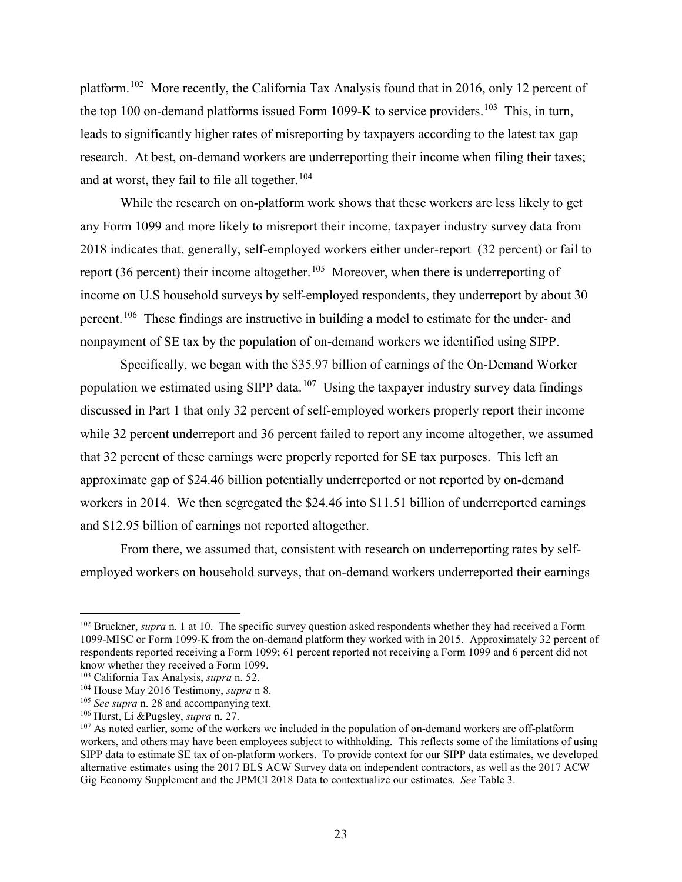platform.<sup>[102](#page-27-0)</sup> More recently, the California Tax Analysis found that in 2016, only 12 percent of the top 100 on-demand platforms issued Form 1099-K to service providers.<sup>[103](#page-27-1)</sup> This, in turn, leads to significantly higher rates of misreporting by taxpayers according to the latest tax gap research. At best, on-demand workers are underreporting their income when filing their taxes; and at worst, they fail to file all together.<sup>[104](#page-27-2)</sup>

While the research on on-platform work shows that these workers are less likely to get any Form 1099 and more likely to misreport their income, taxpayer industry survey data from 2018 indicates that, generally, self-employed workers either under-report (32 percent) or fail to report (36 percent) their income altogether.<sup>[105](#page-27-3)</sup> Moreover, when there is underreporting of income on U.S household surveys by self-employed respondents, they underreport by about 30 percent.[106](#page-27-4) These findings are instructive in building a model to estimate for the under- and nonpayment of SE tax by the population of on-demand workers we identified using SIPP.

Specifically, we began with the \$35.97 billion of earnings of the On-Demand Worker population we estimated using SIPP data.<sup>[107](#page-27-5)</sup> Using the taxpayer industry survey data findings discussed in Part 1 that only 32 percent of self-employed workers properly report their income while 32 percent underreport and 36 percent failed to report any income altogether, we assumed that 32 percent of these earnings were properly reported for SE tax purposes. This left an approximate gap of \$24.46 billion potentially underreported or not reported by on-demand workers in 2014. We then segregated the \$24.46 into \$11.51 billion of underreported earnings and \$12.95 billion of earnings not reported altogether.

From there, we assumed that, consistent with research on underreporting rates by selfemployed workers on household surveys, that on-demand workers underreported their earnings

<span id="page-27-0"></span> <sup>102</sup> Bruckner, *supra* n. 1 at 10. The specific survey question asked respondents whether they had received a Form 1099-MISC or Form 1099-K from the on-demand platform they worked with in 2015. Approximately 32 percent of respondents reported receiving a Form 1099; 61 percent reported not receiving a Form 1099 and 6 percent did not know whether they received a Form 1099.

<span id="page-27-3"></span>

<span id="page-27-5"></span><span id="page-27-4"></span>

<span id="page-27-2"></span><span id="page-27-1"></span><sup>&</sup>lt;sup>103</sup> California Tax Analysis, *supra* n. 52.<br><sup>104</sup> House May 2016 Testimony, *supra* n 8.<br><sup>105</sup> See supra n. 28 and accompanying text.<br><sup>106</sup> Hurst, Li &Pugsley, *supra* n. 27.<br><sup>107</sup> As noted earlier, some of the workers w workers, and others may have been employees subject to withholding. This reflects some of the limitations of using SIPP data to estimate SE tax of on-platform workers. To provide context for our SIPP data estimates, we developed alternative estimates using the 2017 BLS ACW Survey data on independent contractors, as well as the 2017 ACW Gig Economy Supplement and the JPMCI 2018 Data to contextualize our estimates. *See* Table 3.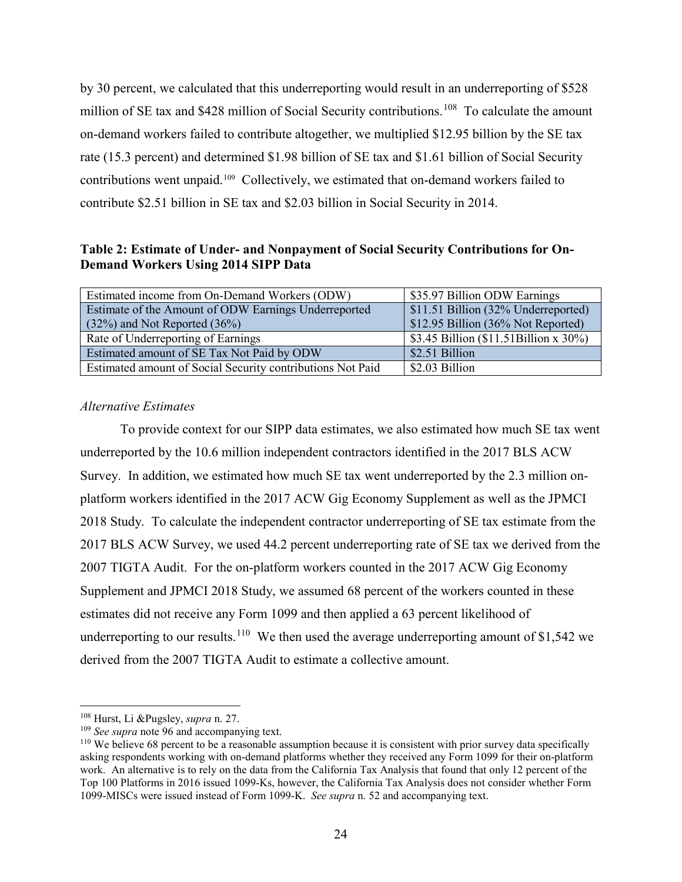by 30 percent, we calculated that this underreporting would result in an underreporting of \$528 million of SE tax and \$428 million of Social Security contributions.<sup>108</sup> To calculate the amount on-demand workers failed to contribute altogether, we multiplied \$12.95 billion by the SE tax rate (15.3 percent) and determined \$1.98 billion of SE tax and \$1.61 billion of Social Security contributions went unpaid.[109](#page-28-1) Collectively, we estimated that on-demand workers failed to contribute \$2.51 billion in SE tax and \$2.03 billion in Social Security in 2014.

## **Table 2: Estimate of Under- and Nonpayment of Social Security Contributions for On-Demand Workers Using 2014 SIPP Data**

| Estimated income from On-Demand Workers (ODW)               | \$35.97 Billion ODW Earnings             |
|-------------------------------------------------------------|------------------------------------------|
| <b>Estimate of the Amount of ODW Earnings Underreported</b> | \$11.51 Billion (32% Underreported)      |
| $(32\%)$ and Not Reported $(36\%)$                          | \$12.95 Billion (36% Not Reported)       |
| Rate of Underreporting of Earnings                          | \$3.45 Billion $(\$11.51$ Billion x 30%) |
| Estimated amount of SE Tax Not Paid by ODW                  | \$2.51 Billion                           |
| Estimated amount of Social Security contributions Not Paid  | \$2.03 Billion                           |

## *Alternative Estimates*

To provide context for our SIPP data estimates, we also estimated how much SE tax went underreported by the 10.6 million independent contractors identified in the 2017 BLS ACW Survey. In addition, we estimated how much SE tax went underreported by the 2.3 million onplatform workers identified in the 2017 ACW Gig Economy Supplement as well as the JPMCI 2018 Study. To calculate the independent contractor underreporting of SE tax estimate from the 2017 BLS ACW Survey, we used 44.2 percent underreporting rate of SE tax we derived from the 2007 TIGTA Audit. For the on-platform workers counted in the 2017 ACW Gig Economy Supplement and JPMCI 2018 Study, we assumed 68 percent of the workers counted in these estimates did not receive any Form 1099 and then applied a 63 percent likelihood of underreporting to our results.<sup>110</sup> We then used the average underreporting amount of \$1,542 we derived from the 2007 TIGTA Audit to estimate a collective amount.

<span id="page-28-2"></span>

<span id="page-28-1"></span><span id="page-28-0"></span><sup>&</sup>lt;sup>108</sup> Hurst, Li &Pugsley, *supra* n. 27.<br><sup>109</sup> *See supra* note 96 and accompanying text.<br><sup>110</sup> We believe 68 percent to be a reasonable assumption because it is consistent with prior survey data specifically asking respondents working with on-demand platforms whether they received any Form 1099 for their on-platform work. An alternative is to rely on the data from the California Tax Analysis that found that only 12 percent of the Top 100 Platforms in 2016 issued 1099-Ks, however, the California Tax Analysis does not consider whether Form 1099-MISCs were issued instead of Form 1099-K. *See supra* n. 52 and accompanying text.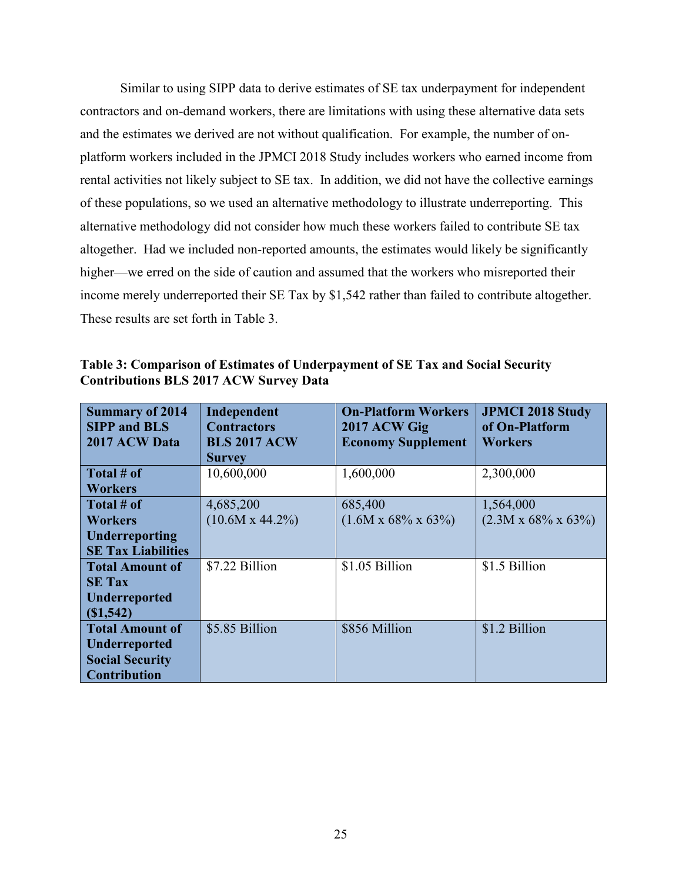Similar to using SIPP data to derive estimates of SE tax underpayment for independent contractors and on-demand workers, there are limitations with using these alternative data sets and the estimates we derived are not without qualification. For example, the number of onplatform workers included in the JPMCI 2018 Study includes workers who earned income from rental activities not likely subject to SE tax. In addition, we did not have the collective earnings of these populations, so we used an alternative methodology to illustrate underreporting. This alternative methodology did not consider how much these workers failed to contribute SE tax altogether. Had we included non-reported amounts, the estimates would likely be significantly higher—we erred on the side of caution and assumed that the workers who misreported their income merely underreported their SE Tax by \$1,542 rather than failed to contribute altogether. These results are set forth in Table 3.

**Table 3: Comparison of Estimates of Underpayment of SE Tax and Social Security Contributions BLS 2017 ACW Survey Data**

| <b>Summary of 2014</b><br><b>SIPP</b> and <b>BLS</b><br>2017 ACW Data                                       | Independent<br><b>Contractors</b><br><b>BLS 2017 ACW</b><br><b>Survey</b> | <b>On-Platform Workers</b><br>2017 ACW Gig<br><b>Economy Supplement</b> | <b>JPMCI 2018 Study</b><br>of On-Platform<br><b>Workers</b> |
|-------------------------------------------------------------------------------------------------------------|---------------------------------------------------------------------------|-------------------------------------------------------------------------|-------------------------------------------------------------|
| Total $#$ of<br><b>Workers</b>                                                                              | 10,600,000                                                                | 1,600,000                                                               | 2,300,000                                                   |
| Total $#$ of<br><b>Workers</b><br>Underreporting<br><b>SE Tax Liabilities</b>                               | 4,685,200<br>(10.6M x 44.2%)                                              | 685,400<br>$(1.6M \times 68\% \times 63\%)$                             | 1,564,000<br>$(2.3M \times 68\% \times 63\%)$               |
| <b>Total Amount of</b><br><b>SE Tax</b><br>Underreported                                                    | \$7.22 Billion                                                            | \$1.05 Billion                                                          | \$1.5 Billion                                               |
| (S1,542)<br><b>Total Amount of</b><br><b>Underreported</b><br><b>Social Security</b><br><b>Contribution</b> | \$5.85 Billion                                                            | \$856 Million                                                           | \$1.2 Billion                                               |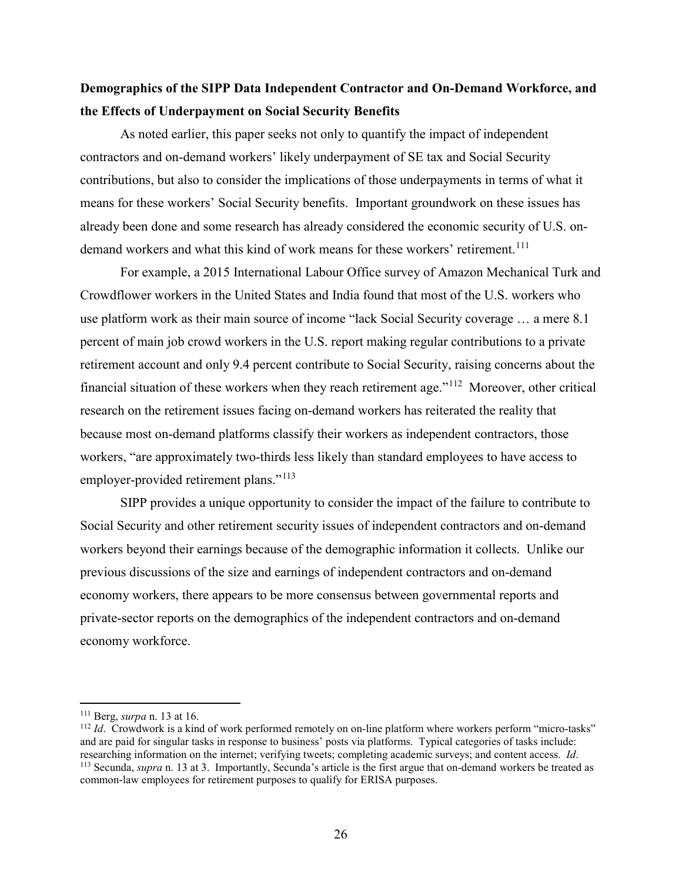## **Demographics of the SIPP Data Independent Contractor and On-Demand Workforce, and the Effects of Underpayment on Social Security Benefits**

As noted earlier, this paper seeks not only to quantify the impact of independent contractors and on-demand workers' likely underpayment of SE tax and Social Security contributions, but also to consider the implications of those underpayments in terms of what it means for these workers' Social Security benefits. Important groundwork on these issues has already been done and some research has already considered the economic security of U.S. ondemand workers and what this kind of work means for these workers' retirement.<sup>111</sup>

For example, a 2015 International Labour Office survey of Amazon Mechanical Turk and Crowdflower workers in the United States and India found that most of the U.S. workers who use platform work as their main source of income "lack Social Security coverage … a mere 8.1 percent of main job crowd workers in the U.S. report making regular contributions to a private retirement account and only 9.4 percent contribute to Social Security, raising concerns about the financial situation of these workers when they reach retirement age."[112](#page-30-1) Moreover, other critical research on the retirement issues facing on-demand workers has reiterated the reality that because most on-demand platforms classify their workers as independent contractors, those workers, "are approximately two-thirds less likely than standard employees to have access to employer-provided retirement plans."<sup>[113](#page-30-2)</sup>

SIPP provides a unique opportunity to consider the impact of the failure to contribute to Social Security and other retirement security issues of independent contractors and on-demand workers beyond their earnings because of the demographic information it collects. Unlike our previous discussions of the size and earnings of independent contractors and on-demand economy workers, there appears to be more consensus between governmental reports and private-sector reports on the demographics of the independent contractors and on-demand economy workforce.

<span id="page-30-2"></span>

<span id="page-30-1"></span><span id="page-30-0"></span><sup>&</sup>lt;sup>111</sup> Berg, *surpa* n. 13 at 16.<br><sup>112</sup> *Id*. Crowdwork is a kind of work performed remotely on on-line platform where workers perform "micro-tasks" and are paid for singular tasks in response to business' posts via platforms. Typical categories of tasks include:<br>researching information on the internet; verifying tweets; completing academic surveys; and content access. <sup>113</sup> Secunda, *supra* n. 13 at 3. Importantly, Secunda's article is the first argue that on-demand workers be treated as common-law employees for retirement purposes to qualify for ERISA purposes.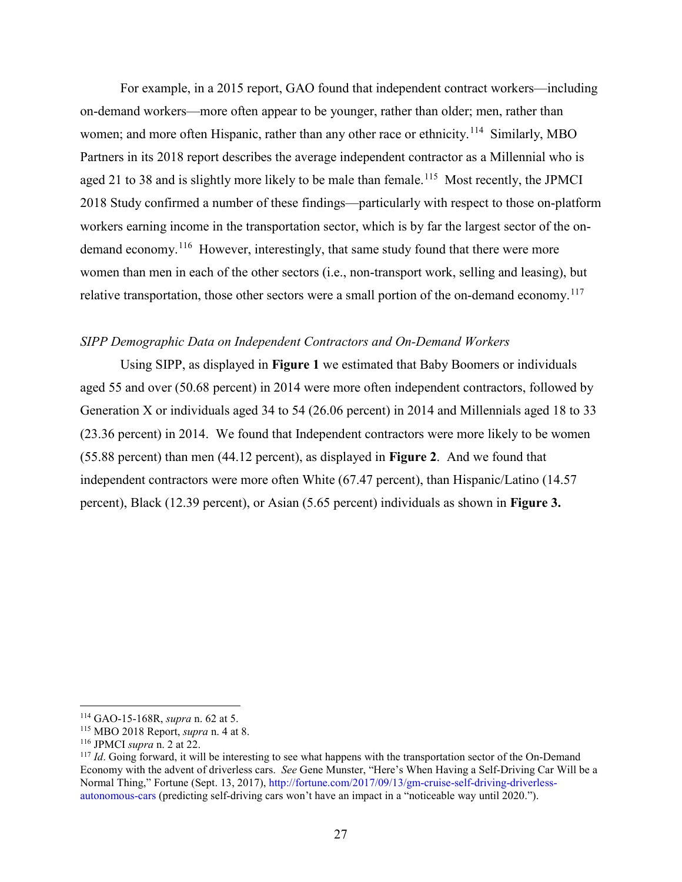For example, in a 2015 report, GAO found that independent contract workers—including on-demand workers—more often appear to be younger, rather than older; men, rather than women; and more often Hispanic, rather than any other race or ethnicity.<sup>[114](#page-31-0)</sup> Similarly, MBO Partners in its 2018 report describes the average independent contractor as a Millennial who is aged 21 to 38 and is slightly more likely to be male than female.<sup>[115](#page-31-1)</sup> Most recently, the JPMCI 2018 Study confirmed a number of these findings—particularly with respect to those on-platform workers earning income in the transportation sector, which is by far the largest sector of the ondemand economy.[116](#page-31-2) However, interestingly, that same study found that there were more women than men in each of the other sectors (i.e., non-transport work, selling and leasing), but relative transportation, those other sectors were a small portion of the on-demand economy.<sup>117</sup>

## *SIPP Demographic Data on Independent Contractors and On-Demand Workers*

Using SIPP, as displayed in **Figure 1** we estimated that Baby Boomers or individuals aged 55 and over (50.68 percent) in 2014 were more often independent contractors, followed by Generation X or individuals aged 34 to 54 (26.06 percent) in 2014 and Millennials aged 18 to 33 (23.36 percent) in 2014. We found that Independent contractors were more likely to be women (55.88 percent) than men (44.12 percent), as displayed in **Figure 2**. And we found that independent contractors were more often White (67.47 percent), than Hispanic/Latino (14.57 percent), Black (12.39 percent), or Asian (5.65 percent) individuals as shown in **Figure 3.** 

<span id="page-31-1"></span><span id="page-31-0"></span><sup>114</sup> GAO-15-168R, *supra* n. 62 at 5. 115 MBO 2018 Report, *supra* n. 4 at 8.

<span id="page-31-3"></span><span id="page-31-2"></span><sup>&</sup>lt;sup>117</sup> *Id*. Going forward, it will be interesting to see what happens with the transportation sector of the On-Demand Economy with the advent of driverless cars. *See* Gene Munster, "Here's When Having a Self-Driving Car Will be a Normal Thing," Fortune (Sept. 13, 2017), [http://fortune.com/2017/09/13/gm-cruise-self-driving-driverless](http://fortune.com/2017/09/13/gm-cruise-self-driving-driverless-autonomous-cars)[autonomous-cars](http://fortune.com/2017/09/13/gm-cruise-self-driving-driverless-autonomous-cars) (predicting self-driving cars won't have an impact in a "noticeable way until 2020.").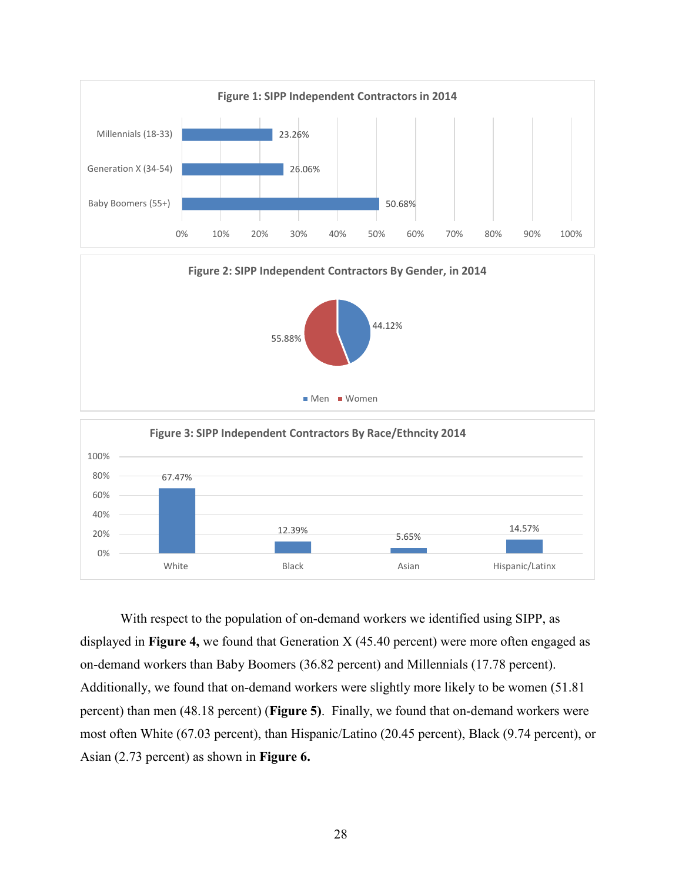





With respect to the population of on-demand workers we identified using SIPP, as displayed in **Figure 4,** we found that Generation X (45.40 percent) were more often engaged as on-demand workers than Baby Boomers (36.82 percent) and Millennials (17.78 percent). Additionally, we found that on-demand workers were slightly more likely to be women (51.81 percent) than men (48.18 percent) (**Figure 5)**. Finally, we found that on-demand workers were most often White (67.03 percent), than Hispanic/Latino (20.45 percent), Black (9.74 percent), or Asian (2.73 percent) as shown in **Figure 6.**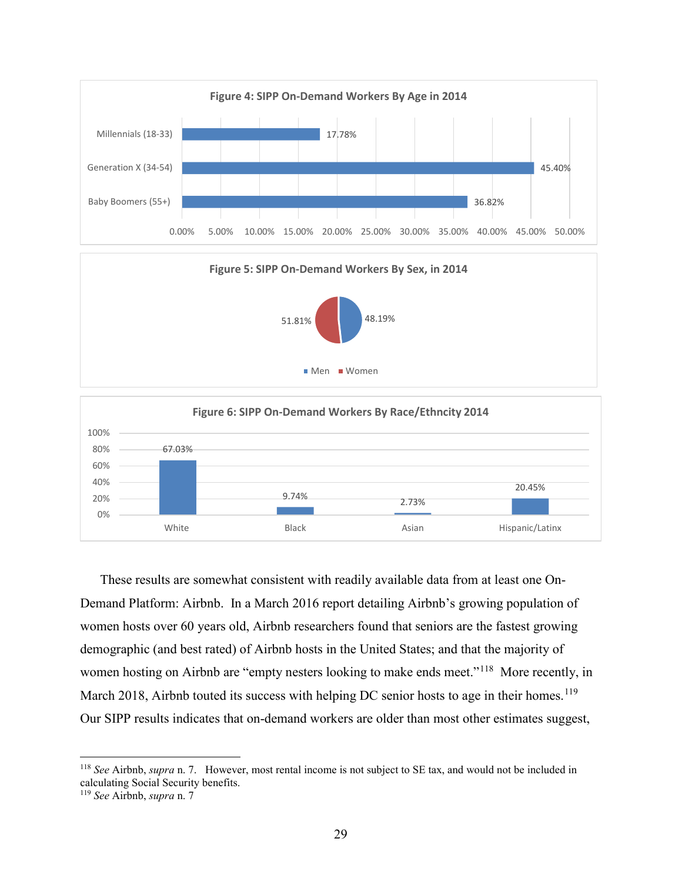





These results are somewhat consistent with readily available data from at least one On-Demand Platform: Airbnb. In a March 2016 report detailing Airbnb's growing population of women hosts over 60 years old, Airbnb researchers found that seniors are the fastest growing demographic (and best rated) of Airbnb hosts in the United States; and that the majority of women hosting on Airbnb are "empty nesters looking to make ends meet."<sup>[118](#page-33-0)</sup> More recently, in March 2018, Airbnb touted its success with helping DC senior hosts to age in their homes.<sup>[119](#page-33-1)</sup> Our SIPP results indicates that on-demand workers are older than most other estimates suggest,

<span id="page-33-0"></span> <sup>118</sup> *See* Airbnb, *supra* n. 7. However, most rental income is not subject to SE tax, and would not be included in calculating Social Security benefits.

<span id="page-33-1"></span><sup>119</sup> *See* Airbnb, *supra* n. 7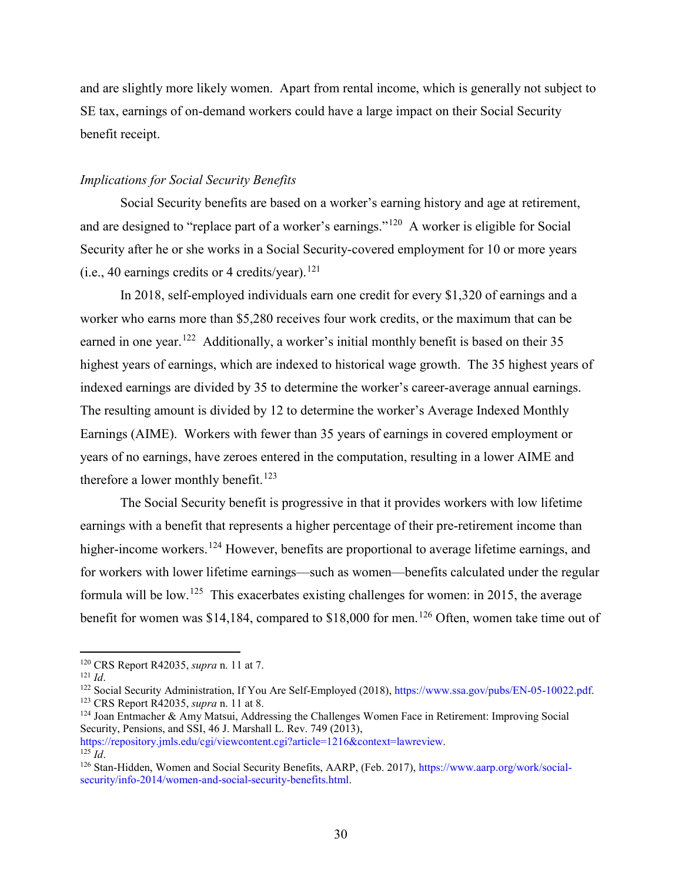and are slightly more likely women. Apart from rental income, which is generally not subject to SE tax, earnings of on-demand workers could have a large impact on their Social Security benefit receipt.

### *Implications for Social Security Benefits*

Social Security benefits are based on a worker's earning history and age at retirement, and are designed to "replace part of a worker's earnings."[120](#page-34-0) A worker is eligible for Social Security after he or she works in a Social Security-covered employment for 10 or more years (i.e., 40 earnings credits or 4 credits/year).<sup>[121](#page-34-1)</sup>

In 2018, self-employed individuals earn one credit for every \$1,320 of earnings and a worker who earns more than \$5,280 receives four work credits, or the maximum that can be earned in one year.<sup>[122](#page-34-2)</sup> Additionally, a worker's initial monthly benefit is based on their 35 highest years of earnings, which are indexed to historical wage growth. The 35 highest years of indexed earnings are divided by 35 to determine the worker's career-average annual earnings. The resulting amount is divided by 12 to determine the worker's Average Indexed Monthly Earnings (AIME). Workers with fewer than 35 years of earnings in covered employment or years of no earnings, have zeroes entered in the computation, resulting in a lower AIME and therefore a lower monthly benefit.<sup>[123](#page-34-3)</sup>

The Social Security benefit is progressive in that it provides workers with low lifetime earnings with a benefit that represents a higher percentage of their pre-retirement income than higher-income workers.<sup>[124](#page-34-4)</sup> However, benefits are proportional to average lifetime earnings, and for workers with lower lifetime earnings—such as women—benefits calculated under the regular formula will be low.<sup>125</sup> This exacerbates existing challenges for women: in 2015, the average benefit for women was \$14,184, compared to \$18,000 for men.<sup>[126](#page-34-6)</sup> Often, women take time out of

<span id="page-34-2"></span><span id="page-34-1"></span>

<span id="page-34-0"></span><sup>&</sup>lt;sup>120</sup> CRS Report R42035, *supra* n. 11 at 7.<br><sup>121</sup> *Id*. <sup>121</sup> *Id*. 122 Social Security Administration, If You Are Self-Employed (2018), [https://www.ssa.gov/pubs/EN-05-10022.pdf.](https://www.ssa.gov/pubs/EN-05-10022.pdf) <sup>123</sup> CRS Report R42035, *supra* n. 11 at 8.

<span id="page-34-4"></span><span id="page-34-3"></span><sup>124</sup> Joan Entmacher & Amy Matsui, Addressing the Challenges Women Face in Retirement: Improving Social Security, Pensions, and SSI, 46 J. Marshall L. Rev. 749 (2013), [https://repository.jmls.edu/cgi/viewcontent.cgi?article=1216&context=lawreview.](https://repository.jmls.edu/cgi/viewcontent.cgi?article=1216&context=lawreview)<br><sup>125</sup> Id.

<span id="page-34-6"></span><span id="page-34-5"></span><sup>&</sup>lt;sup>126</sup> Stan-Hidden, Women and Social Security Benefits, AARP, (Feb. 2017), [https://www.aarp.org/work/social](https://www.aarp.org/work/social-security/info-2014/women-and-social-security-benefits.html)[security/info-2014/women-and-social-security-benefits.html.](https://www.aarp.org/work/social-security/info-2014/women-and-social-security-benefits.html)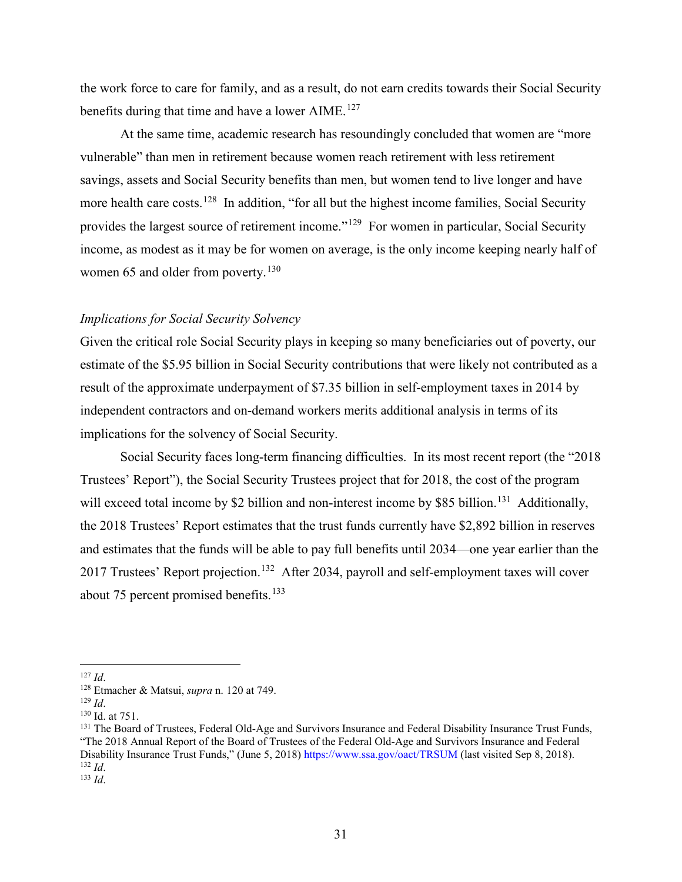the work force to care for family, and as a result, do not earn credits towards their Social Security benefits during that time and have a lower AIME.<sup>[127](#page-35-0)</sup>

At the same time, academic research has resoundingly concluded that women are "more vulnerable" than men in retirement because women reach retirement with less retirement savings, assets and Social Security benefits than men, but women tend to live longer and have more health care costs.<sup>128</sup> In addition, "for all but the highest income families, Social Security provides the largest source of retirement income."<sup>129</sup> For women in particular, Social Security income, as modest as it may be for women on average, is the only income keeping nearly half of women 65 and older from poverty.<sup>[130](#page-35-3)</sup>

## *Implications for Social Security Solvency*

Given the critical role Social Security plays in keeping so many beneficiaries out of poverty, our estimate of the \$5.95 billion in Social Security contributions that were likely not contributed as a result of the approximate underpayment of \$7.35 billion in self-employment taxes in 2014 by independent contractors and on-demand workers merits additional analysis in terms of its implications for the solvency of Social Security.

Social Security faces long-term financing difficulties. In its most recent report (the "2018 Trustees' Report"), the Social Security Trustees project that for 2018, the cost of the program will exceed total income by \$2 billion and non-interest income by \$85 billion.<sup>131</sup> Additionally, the 2018 Trustees' Report estimates that the trust funds currently have \$2,892 billion in reserves and estimates that the funds will be able to pay full benefits until 2034—one year earlier than the 2017 Trustees' Report projection.<sup>132</sup> After 2034, payroll and self-employment taxes will cover about 75 percent promised benefits. $133$ 

<span id="page-35-1"></span>

<span id="page-35-3"></span><span id="page-35-2"></span>

<span id="page-35-4"></span>

<span id="page-35-0"></span><sup>127</sup> *Id.* 128 Etmacher & Matsui, *supra* n. 120 at 749.<br>
129 *Id.* 129 *Id.* 130 Id. at 751.<br>
130 Id. at 751.<br>
131 The Board of Trustees, Federal Old-Age and Survivors Insurance and Federal Disability Insurance Trust Funds "The 2018 Annual Report of the Board of Trustees of the Federal Old-Age and Survivors Insurance and Federal Disability Insurance Trust Funds," (June 5, 2018)<https://www.ssa.gov/oact/TRSUM> (last visited Sep 8, 2018).<br><sup>132</sup> Id.

<span id="page-35-6"></span><span id="page-35-5"></span> $133$  *Id.*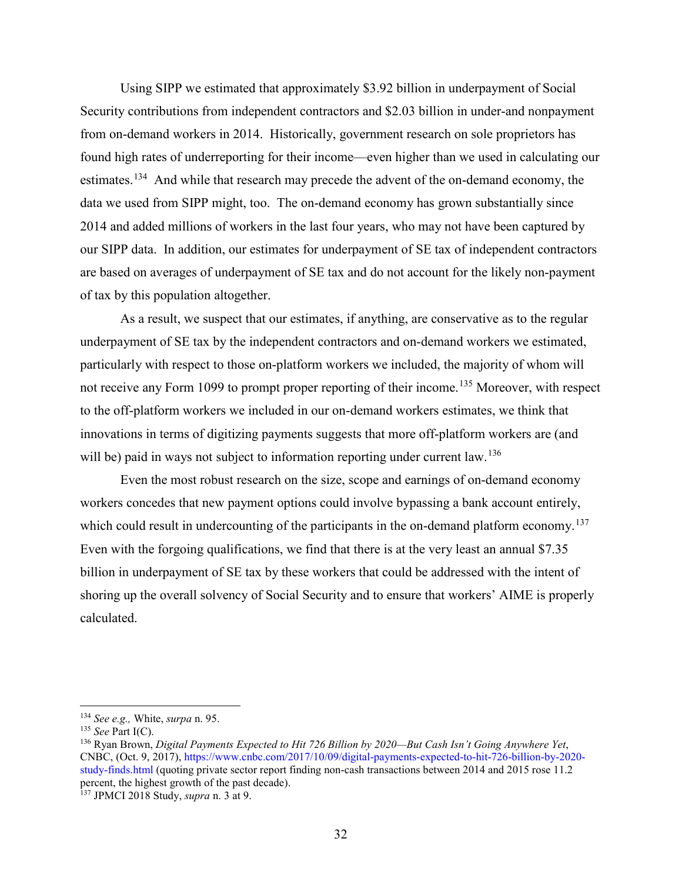Using SIPP we estimated that approximately \$3.92 billion in underpayment of Social Security contributions from independent contractors and \$2.03 billion in under-and nonpayment from on-demand workers in 2014. Historically, government research on sole proprietors has found high rates of underreporting for their income—even higher than we used in calculating our estimates.[134](#page-36-0) And while that research may precede the advent of the on-demand economy, the data we used from SIPP might, too. The on-demand economy has grown substantially since 2014 and added millions of workers in the last four years, who may not have been captured by our SIPP data. In addition, our estimates for underpayment of SE tax of independent contractors are based on averages of underpayment of SE tax and do not account for the likely non-payment of tax by this population altogether.

As a result, we suspect that our estimates, if anything, are conservative as to the regular underpayment of SE tax by the independent contractors and on-demand workers we estimated, particularly with respect to those on-platform workers we included, the majority of whom will not receive any Form 1099 to prompt proper reporting of their income.<sup>[135](#page-36-1)</sup> Moreover, with respect to the off-platform workers we included in our on-demand workers estimates, we think that innovations in terms of digitizing payments suggests that more off-platform workers are (and will be) paid in ways not subject to information reporting under current law.<sup>[136](#page-36-2)</sup>

Even the most robust research on the size, scope and earnings of on-demand economy workers concedes that new payment options could involve bypassing a bank account entirely, which could result in undercounting of the participants in the on-demand platform economy.<sup>[137](#page-36-3)</sup> Even with the forgoing qualifications, we find that there is at the very least an annual \$7.35 billion in underpayment of SE tax by these workers that could be addressed with the intent of shoring up the overall solvency of Social Security and to ensure that workers' AIME is properly calculated.

<span id="page-36-2"></span>

<span id="page-36-1"></span><span id="page-36-0"></span><sup>&</sup>lt;sup>134</sup> *See e.g., White, surpa* n. 95.<br><sup>135</sup> *See* Part I(C).<br><sup>136</sup> Ryan Brown, *Digital Payments Expected to Hit 726 Billion by 2020—But Cash Isn't Going Anywhere Yet,* CNBC, (Oct. 9, 2017), [https://www.cnbc.com/2017/10/09/digital-payments-expected-to-hit-726-billion-by-2020](https://www.cnbc.com/2017/10/09/digital-payments-expected-to-hit-726-billion-by-2020-study-finds.html) [study-finds.html](https://www.cnbc.com/2017/10/09/digital-payments-expected-to-hit-726-billion-by-2020-study-finds.html) (quoting private sector report finding non-cash transactions between 2014 and 2015 rose 11.2 percent, the highest growth of the past decade).

<span id="page-36-3"></span><sup>137</sup> JPMCI 2018 Study, *supra* n. 3 at 9.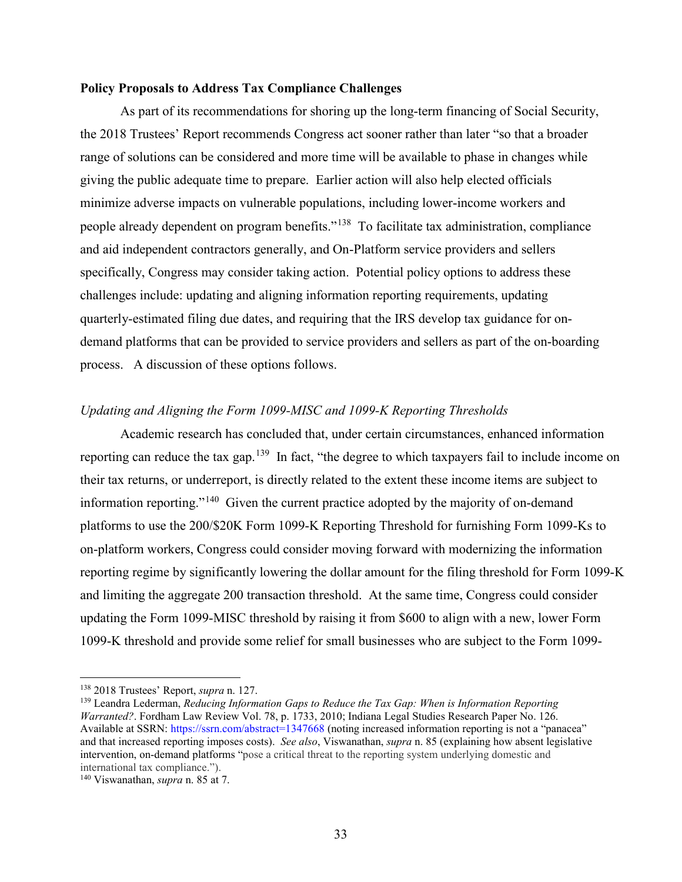## **Policy Proposals to Address Tax Compliance Challenges**

As part of its recommendations for shoring up the long-term financing of Social Security, the 2018 Trustees' Report recommends Congress act sooner rather than later "so that a broader range of solutions can be considered and more time will be available to phase in changes while giving the public adequate time to prepare. Earlier action will also help elected officials minimize adverse impacts on vulnerable populations, including lower-income workers and people already dependent on program benefits."[138](#page-37-0)To facilitate tax administration, compliance and aid independent contractors generally, and On-Platform service providers and sellers specifically, Congress may consider taking action. Potential policy options to address these challenges include: updating and aligning information reporting requirements, updating quarterly-estimated filing due dates, and requiring that the IRS develop tax guidance for ondemand platforms that can be provided to service providers and sellers as part of the on-boarding process. A discussion of these options follows.

## *Updating and Aligning the Form 1099-MISC and 1099-K Reporting Thresholds*

Academic research has concluded that, under certain circumstances, enhanced information reporting can reduce the tax gap.<sup>[139](#page-37-1)</sup> In fact, "the degree to which taxpayers fail to include income on their tax returns, or underreport, is directly related to the extent these income items are subject to information reporting."[140](#page-37-2) Given the current practice adopted by the majority of on-demand platforms to use the 200/\$20K Form 1099-K Reporting Threshold for furnishing Form 1099-Ks to on-platform workers, Congress could consider moving forward with modernizing the information reporting regime by significantly lowering the dollar amount for the filing threshold for Form 1099-K and limiting the aggregate 200 transaction threshold. At the same time, Congress could consider updating the Form 1099-MISC threshold by raising it from \$600 to align with a new, lower Form 1099-K threshold and provide some relief for small businesses who are subject to the Form 1099-

<span id="page-37-0"></span> <sup>138</sup> 2018 Trustees' Report, *supra* n. 127.

<span id="page-37-1"></span><sup>139</sup> Leandra Lederman, *Reducing Information Gaps to Reduce the Tax Gap: When is Information Reporting Warranted?*. Fordham Law Review Vol. 78, p. 1733, 2010; Indiana Legal Studies Research Paper No. 126. Available at SSRN:<https://ssrn.com/abstract=1347668> (noting increased information reporting is not a "panacea" and that increased reporting imposes costs). *See also*, Viswanathan, *supra* n. 85 (explaining how absent legislative intervention, on-demand platforms "pose a critical threat to the reporting system underlying domestic and international tax compliance.").

<span id="page-37-2"></span><sup>140</sup> Viswanathan, *supra* n. 85 at 7.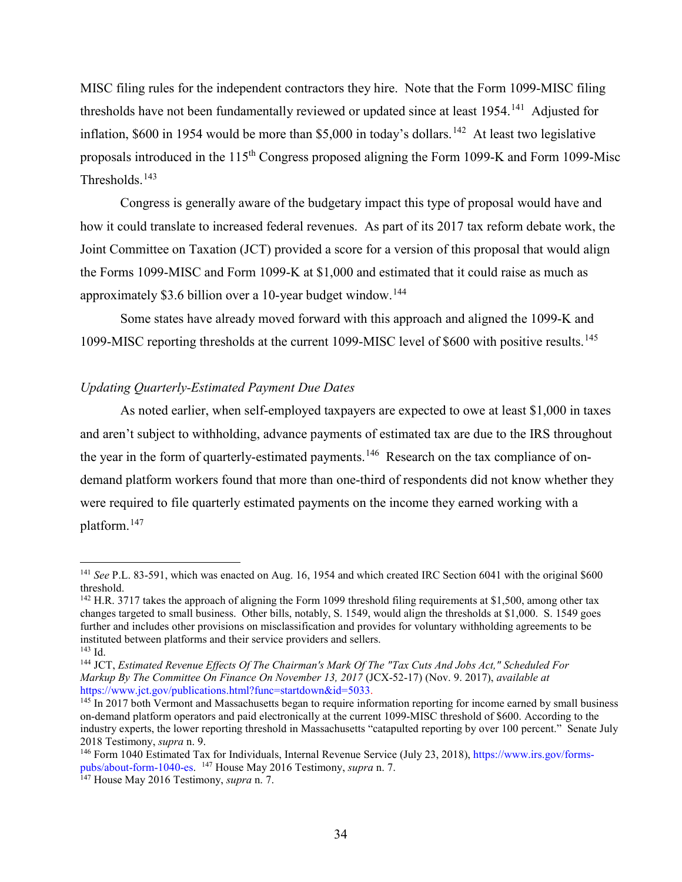MISC filing rules for the independent contractors they hire. Note that the Form 1099-MISC filing thresholds have not been fundamentally reviewed or updated since at least 1954.<sup>[141](#page-38-0)</sup> Adjusted for inflation, \$600 in 1954 would be more than \$5,000 in today's dollars.<sup>142</sup> At least two legislative proposals introduced in the 115<sup>th</sup> Congress proposed aligning the Form 1099-K and Form 1099-Misc Thresholds.[143](#page-38-2)

Congress is generally aware of the budgetary impact this type of proposal would have and how it could translate to increased federal revenues. As part of its 2017 tax reform debate work, the Joint Committee on Taxation (JCT) provided a score for a version of this proposal that would align the Forms 1099-MISC and Form 1099-K at \$1,000 and estimated that it could raise as much as approximately \$3.6 billion over a 10-year budget window.[144](#page-38-3)

Some states have already moved forward with this approach and aligned the 1099-K and 1099-MISC reporting thresholds at the current 1099-MISC level of \$600 with positive results.[145](#page-38-4)

## *Updating Quarterly-Estimated Payment Due Dates*

As noted earlier, when self-employed taxpayers are expected to owe at least \$1,000 in taxes and aren't subject to withholding, advance payments of estimated tax are due to the IRS throughout the year in the form of quarterly-estimated payments.<sup>146</sup> Research on the tax compliance of ondemand platform workers found that more than one-third of respondents did not know whether they were required to file quarterly estimated payments on the income they earned working with a platform.[147](#page-38-6)

<span id="page-38-0"></span><sup>&</sup>lt;sup>141</sup> See P.L. 83-591, which was enacted on Aug. 16, 1954 and which created IRC Section 6041 with the original \$600 threshold.

<span id="page-38-1"></span><sup>&</sup>lt;sup>142</sup> H.R. 3717 takes the approach of aligning the Form 1099 threshold filing requirements at \$1,500, among other tax changes targeted to small business. Other bills, notably, S. 1549, would align the thresholds at \$1,000. S. 1549 goes further and includes other provisions on misclassification and provides for voluntary withholding agreements to be instituted between platforms and their service providers and sellers.<br><sup>143</sup> Id.

<span id="page-38-3"></span><span id="page-38-2"></span><sup>143</sup> Id. 144 JCT, *Estimated Revenue Effects Of The Chairman's Mark Of The "Tax Cuts And Jobs Act," Scheduled For Markup By The Committee On Finance On November 13, 2017* (JCX-52-17) (Nov. 9. 2017), *available at* [https://www.jct.gov/publications.html?func=startdown&id=5033.](https://www.jct.gov/publications.html?func=startdown&id=5033)<br><sup>145</sup> In 2017 both Vermont and Massachusetts began to require information reporting for income earned by small business

<span id="page-38-4"></span>on-demand platform operators and paid electronically at the current 1099-MISC threshold of \$600. According to the industry experts, the lower reporting threshold in Massachusetts "catapulted reporting by over 100 percent." Senate July 2018 Testimony, *supra* n. 9.

<span id="page-38-5"></span><sup>&</sup>lt;sup>146</sup> Form 1040 Estimated Tax for Individuals, Internal Revenue Service (July 23, 2018), [https://www.irs.gov/forms](https://www.irs.gov/forms-pubs/about-form-1040-es)[pubs/about-form-1040-es.](https://www.irs.gov/forms-pubs/about-form-1040-es) 147 House May 2016 Testimony, *supra* n. 7. 147 House May 2016 Testimony, *supra* n. 7.

<span id="page-38-6"></span>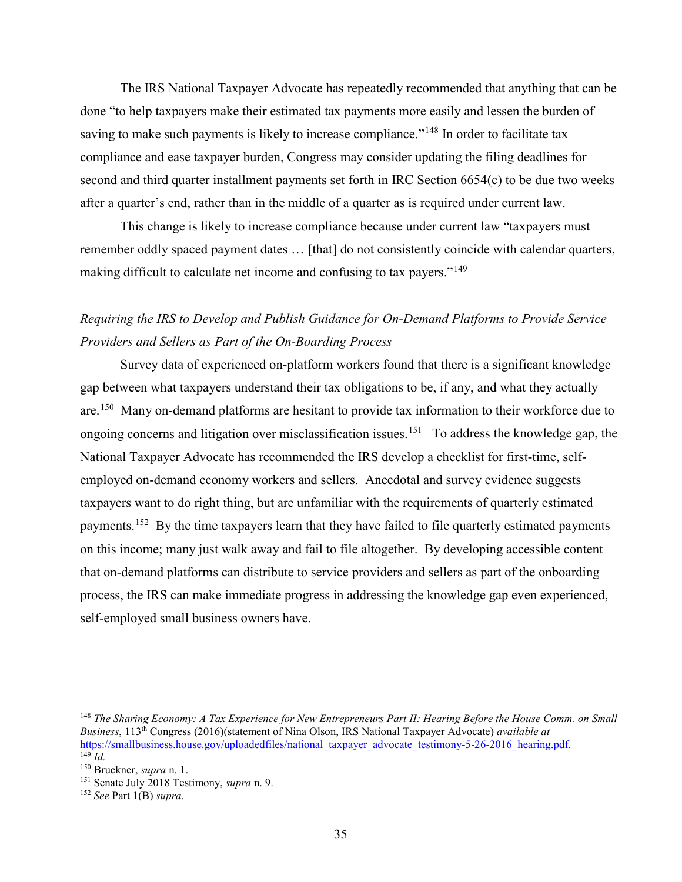The IRS National Taxpayer Advocate has repeatedly recommended that anything that can be done "to help taxpayers make their estimated tax payments more easily and lessen the burden of saving to make such payments is likely to increase compliance."<sup>[148](#page-39-0)</sup> In order to facilitate tax compliance and ease taxpayer burden, Congress may consider updating the filing deadlines for second and third quarter installment payments set forth in IRC Section 6654(c) to be due two weeks after a quarter's end, rather than in the middle of a quarter as is required under current law.

This change is likely to increase compliance because under current law "taxpayers must remember oddly spaced payment dates … [that] do not consistently coincide with calendar quarters, making difficult to calculate net income and confusing to tax payers."[149](#page-39-1) 

# *Requiring the IRS to Develop and Publish Guidance for On-Demand Platforms to Provide Service Providers and Sellers as Part of the On-Boarding Process*

Survey data of experienced on-platform workers found that there is a significant knowledge gap between what taxpayers understand their tax obligations to be, if any, and what they actually are.<sup>[150](#page-39-2)</sup> Many on-demand platforms are hesitant to provide tax information to their workforce due to ongoing concerns and litigation over misclassification issues.<sup>[151](#page-39-3)</sup> To address the knowledge gap, the National Taxpayer Advocate has recommended the IRS develop a checklist for first-time, selfemployed on-demand economy workers and sellers. Anecdotal and survey evidence suggests taxpayers want to do right thing, but are unfamiliar with the requirements of quarterly estimated payments.[152](#page-39-4) By the time taxpayers learn that they have failed to file quarterly estimated payments on this income; many just walk away and fail to file altogether. By developing accessible content that on-demand platforms can distribute to service providers and sellers as part of the onboarding process, the IRS can make immediate progress in addressing the knowledge gap even experienced, self-employed small business owners have.

<span id="page-39-0"></span> <sup>148</sup> *The Sharing Economy: A Tax Experience for New Entrepreneurs Part II: Hearing Before the House Comm. on Small Business*, 113th Congress (2016)(statement of Nina Olson, IRS National Taxpayer Advocate) *available at*  [https://smallbusiness.house.gov/uploadedfiles/national\\_taxpayer\\_advocate\\_testimony-5-26-2016\\_hearing.pdf.](https://smallbusiness.house.gov/uploadedfiles/national_taxpayer_advocate_testimony-5-26-2016_hearing.pdf)

<span id="page-39-1"></span><sup>&</sup>lt;sup>149</sup> *Id.* **Bruckner**, *supra* n. 1.

<span id="page-39-3"></span><span id="page-39-2"></span><sup>&</sup>lt;sup>151</sup> Senate July 2018 Testimony, *supra* n. 9.

<span id="page-39-4"></span><sup>152</sup> *See* Part 1(B) *supra*.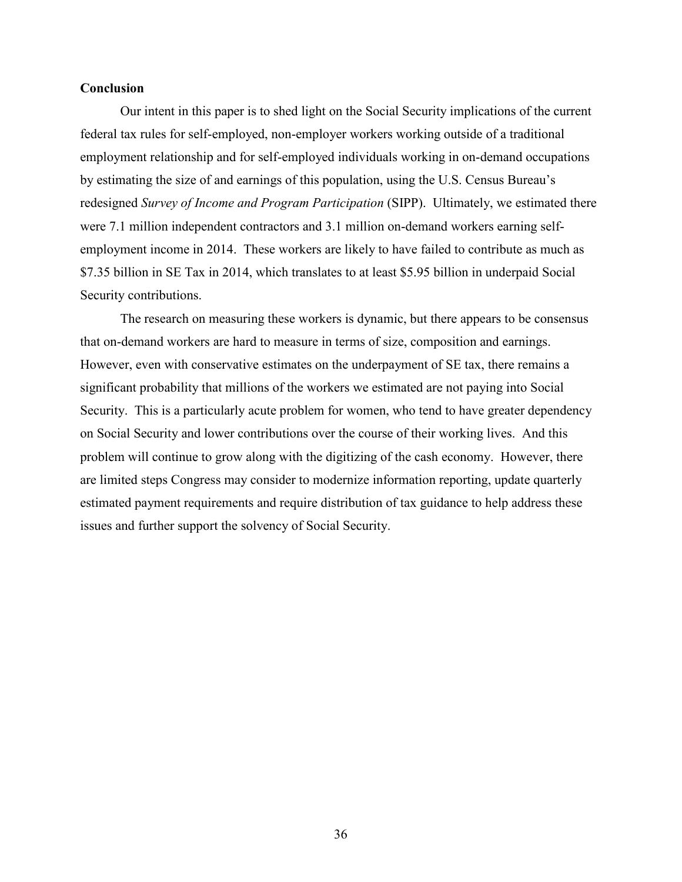## **Conclusion**

Our intent in this paper is to shed light on the Social Security implications of the current federal tax rules for self-employed, non-employer workers working outside of a traditional employment relationship and for self-employed individuals working in on-demand occupations by estimating the size of and earnings of this population, using the U.S. Census Bureau's redesigned *Survey of Income and Program Participation* (SIPP). Ultimately, we estimated there were 7.1 million independent contractors and 3.1 million on-demand workers earning selfemployment income in 2014. These workers are likely to have failed to contribute as much as \$7.35 billion in SE Tax in 2014, which translates to at least \$5.95 billion in underpaid Social Security contributions.

The research on measuring these workers is dynamic, but there appears to be consensus that on-demand workers are hard to measure in terms of size, composition and earnings. However, even with conservative estimates on the underpayment of SE tax, there remains a significant probability that millions of the workers we estimated are not paying into Social Security. This is a particularly acute problem for women, who tend to have greater dependency on Social Security and lower contributions over the course of their working lives. And this problem will continue to grow along with the digitizing of the cash economy. However, there are limited steps Congress may consider to modernize information reporting, update quarterly estimated payment requirements and require distribution of tax guidance to help address these issues and further support the solvency of Social Security.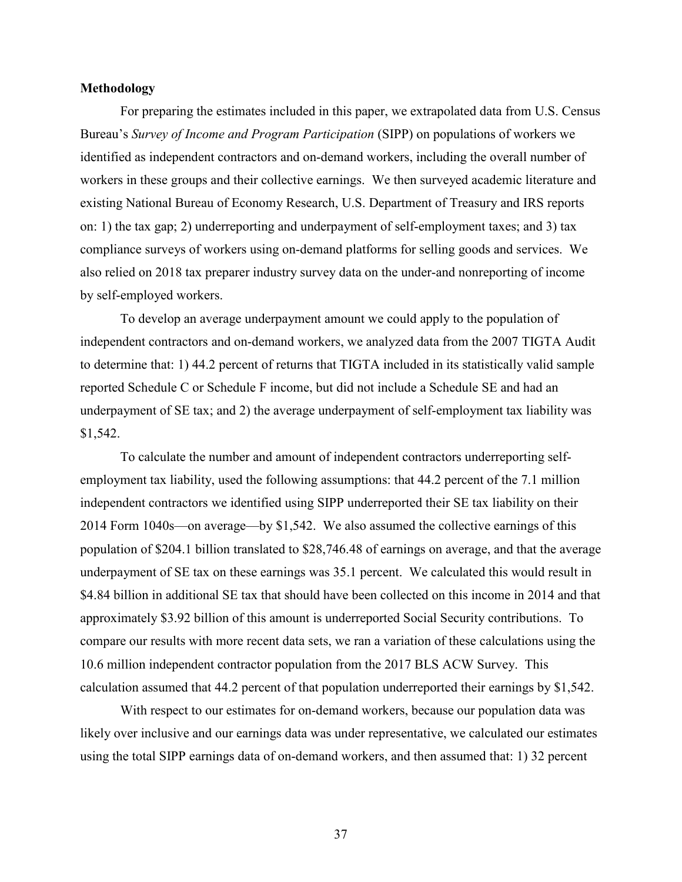### **Methodology**

For preparing the estimates included in this paper, we extrapolated data from U.S. Census Bureau's *Survey of Income and Program Participation* (SIPP) on populations of workers we identified as independent contractors and on-demand workers, including the overall number of workers in these groups and their collective earnings. We then surveyed academic literature and existing National Bureau of Economy Research, U.S. Department of Treasury and IRS reports on: 1) the tax gap; 2) underreporting and underpayment of self-employment taxes; and 3) tax compliance surveys of workers using on-demand platforms for selling goods and services. We also relied on 2018 tax preparer industry survey data on the under-and nonreporting of income by self-employed workers.

To develop an average underpayment amount we could apply to the population of independent contractors and on-demand workers, we analyzed data from the 2007 TIGTA Audit to determine that: 1) 44.2 percent of returns that TIGTA included in its statistically valid sample reported Schedule C or Schedule F income, but did not include a Schedule SE and had an underpayment of SE tax; and 2) the average underpayment of self-employment tax liability was \$1,542.

To calculate the number and amount of independent contractors underreporting selfemployment tax liability, used the following assumptions: that 44.2 percent of the 7.1 million independent contractors we identified using SIPP underreported their SE tax liability on their 2014 Form 1040s—on average—by \$1,542. We also assumed the collective earnings of this population of \$204.1 billion translated to \$28,746.48 of earnings on average, and that the average underpayment of SE tax on these earnings was 35.1 percent. We calculated this would result in \$4.84 billion in additional SE tax that should have been collected on this income in 2014 and that approximately \$3.92 billion of this amount is underreported Social Security contributions. To compare our results with more recent data sets, we ran a variation of these calculations using the 10.6 million independent contractor population from the 2017 BLS ACW Survey. This calculation assumed that 44.2 percent of that population underreported their earnings by \$1,542.

With respect to our estimates for on-demand workers, because our population data was likely over inclusive and our earnings data was under representative, we calculated our estimates using the total SIPP earnings data of on-demand workers, and then assumed that: 1) 32 percent

37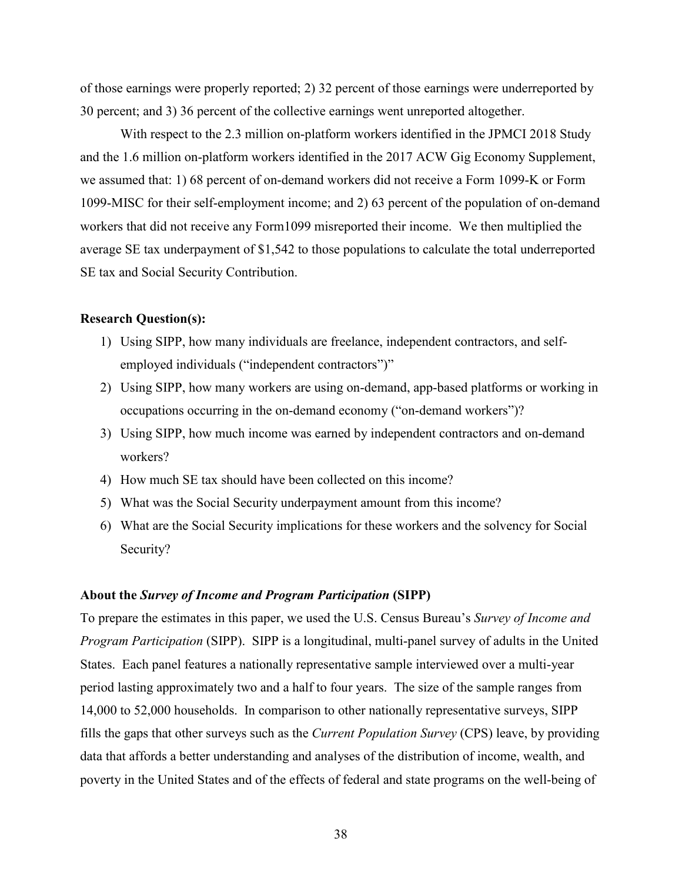of those earnings were properly reported; 2) 32 percent of those earnings were underreported by 30 percent; and 3) 36 percent of the collective earnings went unreported altogether.

With respect to the 2.3 million on-platform workers identified in the JPMCI 2018 Study and the 1.6 million on-platform workers identified in the 2017 ACW Gig Economy Supplement, we assumed that: 1) 68 percent of on-demand workers did not receive a Form 1099-K or Form 1099-MISC for their self-employment income; and 2) 63 percent of the population of on-demand workers that did not receive any Form1099 misreported their income. We then multiplied the average SE tax underpayment of \$1,542 to those populations to calculate the total underreported SE tax and Social Security Contribution.

### **Research Question(s):**

- 1) Using SIPP, how many individuals are freelance, independent contractors, and selfemployed individuals ("independent contractors")"
- 2) Using SIPP, how many workers are using on-demand, app-based platforms or working in occupations occurring in the on-demand economy ("on-demand workers")?
- 3) Using SIPP, how much income was earned by independent contractors and on-demand workers?
- 4) How much SE tax should have been collected on this income?
- 5) What was the Social Security underpayment amount from this income?
- 6) What are the Social Security implications for these workers and the solvency for Social Security?

## **About the** *Survey of Income and Program Participation* **(SIPP)**

To prepare the estimates in this paper, we used the U.S. Census Bureau's *Survey of Income and Program Participation* (SIPP). SIPP is a longitudinal, multi-panel survey of adults in the United States. Each panel features a nationally representative sample interviewed over a multi-year period lasting approximately two and a half to four years. The size of the sample ranges from 14,000 to 52,000 households. In comparison to other nationally representative surveys, SIPP fills the gaps that other surveys such as the *Current Population Survey* (CPS) leave, by providing data that affords a better understanding and analyses of the distribution of income, wealth, and poverty in the United States and of the effects of federal and state programs on the well-being of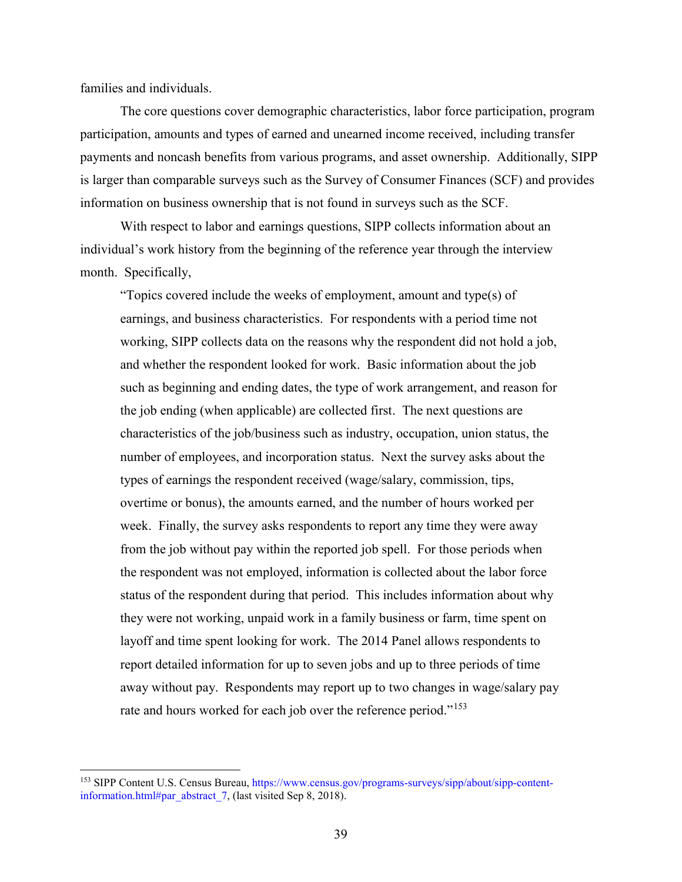families and individuals.

The core questions cover demographic characteristics, labor force participation, program participation, amounts and types of earned and unearned income received, including transfer payments and noncash benefits from various programs, and asset ownership. Additionally, SIPP is larger than comparable surveys such as the Survey of Consumer Finances (SCF) and provides information on business ownership that is not found in surveys such as the SCF.

With respect to labor and earnings questions, SIPP collects information about an individual's work history from the beginning of the reference year through the interview month. Specifically,

"Topics covered include the weeks of employment, amount and type(s) of earnings, and business characteristics. For respondents with a period time not working, SIPP collects data on the reasons why the respondent did not hold a job, and whether the respondent looked for work. Basic information about the job such as beginning and ending dates, the type of work arrangement, and reason for the job ending (when applicable) are collected first. The next questions are characteristics of the job/business such as industry, occupation, union status, the number of employees, and incorporation status. Next the survey asks about the types of earnings the respondent received (wage/salary, commission, tips, overtime or bonus), the amounts earned, and the number of hours worked per week. Finally, the survey asks respondents to report any time they were away from the job without pay within the reported job spell. For those periods when the respondent was not employed, information is collected about the labor force status of the respondent during that period. This includes information about why they were not working, unpaid work in a family business or farm, time spent on layoff and time spent looking for work. The 2014 Panel allows respondents to report detailed information for up to seven jobs and up to three periods of time away without pay. Respondents may report up to two changes in wage/salary pay rate and hours worked for each job over the reference period."<sup>[153](#page-43-0)</sup>

<span id="page-43-0"></span> <sup>153</sup> SIPP Content U.S. Census Bureau, [https://www.census.gov/programs-surveys/sipp/about/sipp-content](https://www.census.gov/programs-surveys/sipp/about/sipp-content-information.html#par_abstract_7)[information.html#par\\_abstract\\_7,](https://www.census.gov/programs-surveys/sipp/about/sipp-content-information.html#par_abstract_7) (last visited Sep 8, 2018).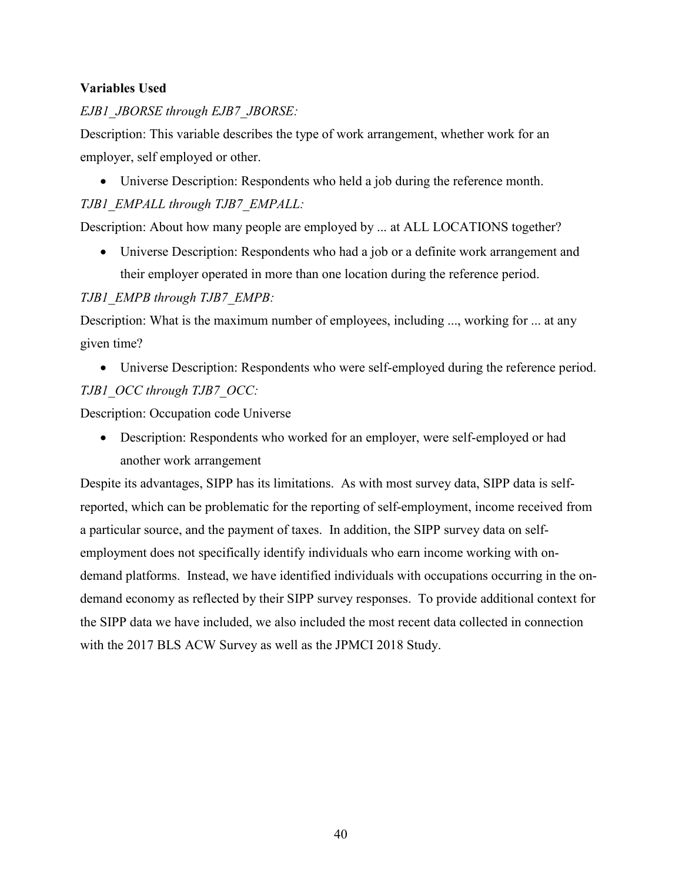## **Variables Used**

## *EJB1\_JBORSE through EJB7\_JBORSE:*

Description: This variable describes the type of work arrangement, whether work for an employer, self employed or other.

• Universe Description: Respondents who held a job during the reference month. *TJB1\_EMPALL through TJB7\_EMPALL:*

Description: About how many people are employed by ... at ALL LOCATIONS together?

• Universe Description: Respondents who had a job or a definite work arrangement and their employer operated in more than one location during the reference period.

## *TJB1\_EMPB through TJB7\_EMPB:*

Description: What is the maximum number of employees, including ..., working for ... at any given time?

• Universe Description: Respondents who were self-employed during the reference period. *TJB1\_OCC through TJB7\_OCC:*

Description: Occupation code Universe

• Description: Respondents who worked for an employer, were self-employed or had another work arrangement

Despite its advantages, SIPP has its limitations. As with most survey data, SIPP data is selfreported, which can be problematic for the reporting of self-employment, income received from a particular source, and the payment of taxes. In addition, the SIPP survey data on selfemployment does not specifically identify individuals who earn income working with ondemand platforms. Instead, we have identified individuals with occupations occurring in the ondemand economy as reflected by their SIPP survey responses. To provide additional context for the SIPP data we have included, we also included the most recent data collected in connection with the 2017 BLS ACW Survey as well as the JPMCI 2018 Study.